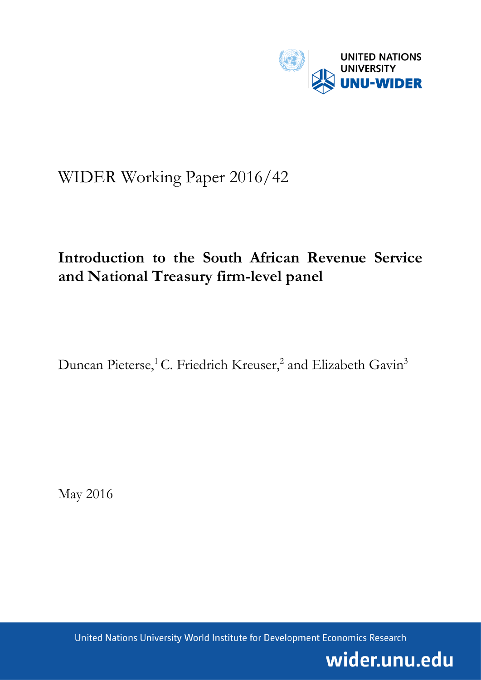

# WIDER Working Paper 2016/42

# **Introduction to the South African Revenue Service and National Treasury firm-level panel**

Duncan Pieterse,<sup>1</sup> C. Friedrich Kreuser,<sup>2</sup> and Elizabeth Gavin<sup>3</sup>

May 2016

United Nations University World Institute for Development Economics Research

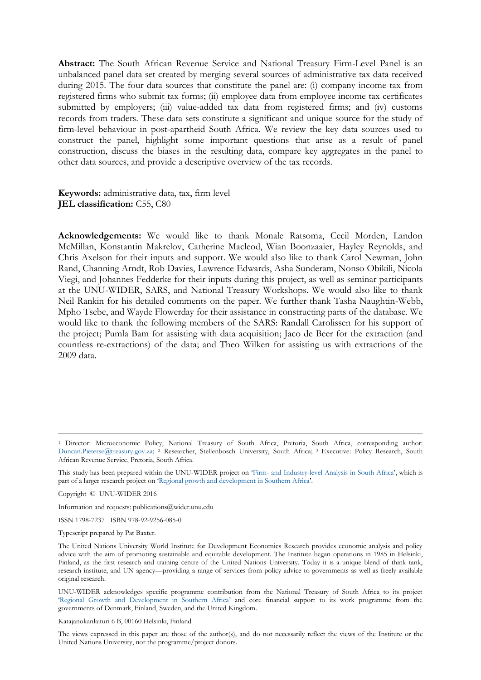**Abstract:** The South African Revenue Service and National Treasury Firm-Level Panel is an unbalanced panel data set created by merging several sources of administrative tax data received during 2015. The four data sources that constitute the panel are: (i) company income tax from registered firms who submit tax forms; (ii) employee data from employee income tax certificates submitted by employers; (iii) value-added tax data from registered firms; and (iv) customs records from traders. These data sets constitute a significant and unique source for the study of firm-level behaviour in post-apartheid South Africa. We review the key data sources used to construct the panel, highlight some important questions that arise as a result of panel construction, discuss the biases in the resulting data, compare key aggregates in the panel to other data sources, and provide a descriptive overview of the tax records.

**Keywords:** administrative data, tax, firm level **JEL classification:** C55, C80

**Acknowledgements:** We would like to thank Monale Ratsoma, Cecil Morden, Landon McMillan, Konstantin Makrelov, Catherine Macleod, Wian Boonzaaier, Hayley Reynolds, and Chris Axelson for their inputs and support. We would also like to thank Carol Newman, John Rand, Channing Arndt, Rob Davies, Lawrence Edwards, Asha Sunderam, Nonso Obikili, Nicola Viegi, and Johannes Fedderke for their inputs during this project, as well as seminar participants at the UNU-WIDER, SARS, and National Treasury Workshops. We would also like to thank Neil Rankin for his detailed comments on the paper. We further thank Tasha Naughtin-Webb, Mpho Tsebe, and Wayde Flowerday for their assistance in constructing parts of the database. We would like to thank the following members of the SARS: Randall Carolissen for his support of the project; Pumla Bam for assisting with data acquisition; Jaco de Beer for the extraction (and countless re-extractions) of the data; and Theo Wilken for assisting us with extractions of the 2009 data.

Copyright © UNU-WIDER 2016

Information and requests: publications@wider.unu.edu

ISSN 1798-7237 ISBN 978-92-9256-085-0

Typescript prepared by Pat Baxter.

UNU-WIDER acknowledges specific programme contribution from the National Treasury of South Africa to its project '[Regional Growth and Development in Southern Africa](https://www.wider.unu.edu/node/381)' and core financial support to its work programme from the governments of Denmark, Finland, Sweden, and the United Kingdom.

Katajanokanlaituri 6 B, 00160 Helsinki, Finland

The views expressed in this paper are those of the author(s), and do not necessarily reflect the views of the Institute or the United Nations University, nor the programme/project donors.

<sup>1</sup> Director: Microeconomic Policy, National Treasury of South Africa, Pretoria, South Africa, corresponding author: [Duncan.Pieterse@treasury.gov.za;](mailto:Duncan.Pieterse@treasury.gov.za) <sup>2</sup> Researcher, Stellenbosch University, South Africa; <sup>3</sup> Executive: Policy Research, South African Revenue Service, Pretoria, South Africa.

This study has been prepared within the UNU-WIDER project on 'Firm- [and Industry-level Analysis in South Africa](https://www.wider.unu.edu/node/481)', which is part of a larger research project on '[Regional growth and development in Southern Africa](https://www.wider.unu.edu/node/381)'.

The United Nations University World Institute for Development Economics Research provides economic analysis and policy advice with the aim of promoting sustainable and equitable development. The Institute began operations in 1985 in Helsinki, Finland, as the first research and training centre of the United Nations University. Today it is a unique blend of think tank, research institute, and UN agency—providing a range of services from policy advice to governments as well as freely available original research.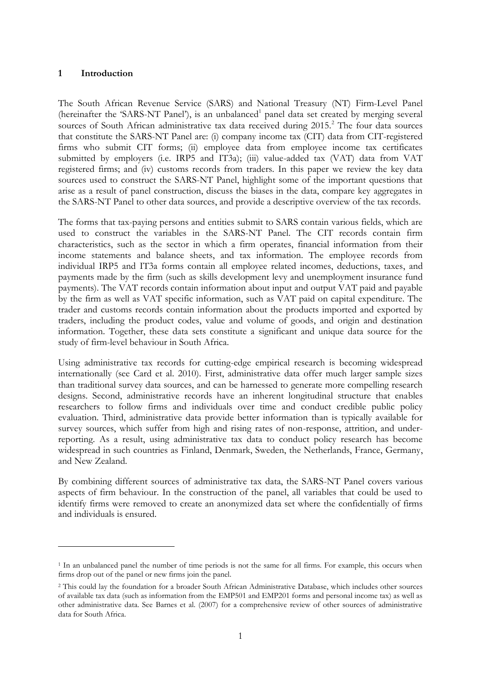#### **1 Introduction**

<u>.</u>

The South African Revenue Service (SARS) and National Treasury (NT) Firm-Level Panel (hereinafter the 'SARS-NT Panel'), is an unbalanced<sup>1</sup> panel data set created by merging several sources of South African administrative tax data received during  $2015<sup>2</sup>$ . The four data sources that constitute the SARS-NT Panel are: (i) company income tax (CIT) data from CIT-registered firms who submit CIT forms; (ii) employee data from employee income tax certificates submitted by employers (i.e. IRP5 and IT3a); (iii) value-added tax (VAT) data from VAT registered firms; and (iv) customs records from traders. In this paper we review the key data sources used to construct the SARS-NT Panel, highlight some of the important questions that arise as a result of panel construction, discuss the biases in the data, compare key aggregates in the SARS-NT Panel to other data sources, and provide a descriptive overview of the tax records.

The forms that tax-paying persons and entities submit to SARS contain various fields, which are used to construct the variables in the SARS-NT Panel. The CIT records contain firm characteristics, such as the sector in which a firm operates, financial information from their income statements and balance sheets, and tax information. The employee records from individual IRP5 and IT3a forms contain all employee related incomes, deductions, taxes, and payments made by the firm (such as skills development levy and unemployment insurance fund payments). The VAT records contain information about input and output VAT paid and payable by the firm as well as VAT specific information, such as VAT paid on capital expenditure. The trader and customs records contain information about the products imported and exported by traders, including the product codes, value and volume of goods, and origin and destination information. Together, these data sets constitute a significant and unique data source for the study of firm-level behaviour in South Africa.

Using administrative tax records for cutting-edge empirical research is becoming widespread internationally (see Card et al. 2010). First, administrative data offer much larger sample sizes than traditional survey data sources, and can be harnessed to generate more compelling research designs. Second, administrative records have an inherent longitudinal structure that enables researchers to follow firms and individuals over time and conduct credible public policy evaluation. Third, administrative data provide better information than is typically available for survey sources, which suffer from high and rising rates of non-response, attrition, and underreporting. As a result, using administrative tax data to conduct policy research has become widespread in such countries as Finland, Denmark, Sweden, the Netherlands, France, Germany, and New Zealand.

By combining different sources of administrative tax data, the SARS-NT Panel covers various aspects of firm behaviour. In the construction of the panel, all variables that could be used to identify firms were removed to create an anonymized data set where the confidentially of firms and individuals is ensured.

<sup>&</sup>lt;sup>1</sup> In an unbalanced panel the number of time periods is not the same for all firms. For example, this occurs when firms drop out of the panel or new firms join the panel.

<sup>2</sup> This could lay the foundation for a broader South African Administrative Database, which includes other sources of available tax data (such as information from the EMP501 and EMP201 forms and personal income tax) as well as other administrative data. See Barnes et al. (2007) for a comprehensive review of other sources of administrative data for South Africa.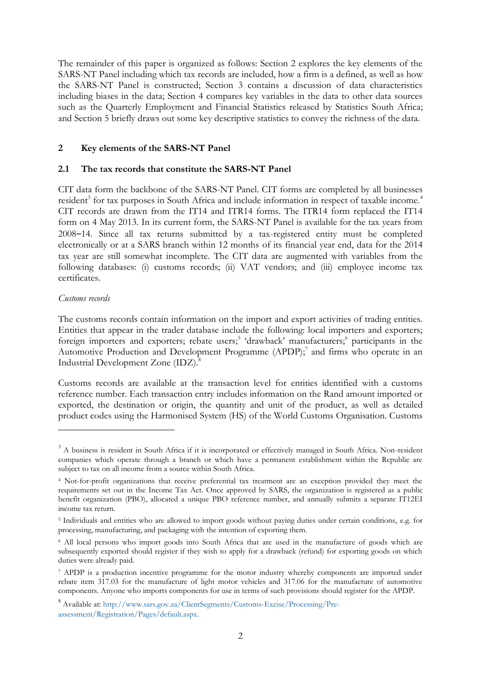The remainder of this paper is organized as follows: Section 2 explores the key elements of the SARS-NT Panel including which tax records are included, how a firm is a defined, as well as how the SARS-NT Panel is constructed; Section 3 contains a discussion of data characteristics including biases in the data; Section 4 compares key variables in the data to other data sources such as the Quarterly Employment and Financial Statistics released by Statistics South Africa; and Section 5 briefly draws out some key descriptive statistics to convey the richness of the data.

# **2 Key elements of the SARS-NT Panel**

#### **2.1 The tax records that constitute the SARS-NT Panel**

CIT data form the backbone of the SARS-NT Panel. CIT forms are completed by all businesses resident<sup>3</sup> for tax purposes in South Africa and include information in respect of taxable income.<sup>4</sup> CIT records are drawn from the IT14 and ITR14 forms. The ITR14 form replaced the IT14 form on 4 May 2013. In its current form, the SARS-NT Panel is available for the tax years from 2008‒14. Since all tax returns submitted by a tax-registered entity must be completed electronically or at a SARS branch within 12 months of its financial year end, data for the 2014 tax year are still somewhat incomplete. The CIT data are augmented with variables from the following databases: (i) customs records; (ii) VAT vendors; and (iii) employee income tax certificates.

#### *Customs records*

<u>.</u>

The customs records contain information on the import and export activities of trading entities. Entities that appear in the trader database include the following: local importers and exporters; foreign importers and exporters; rebate users;<sup>5</sup> 'drawback' manufacturers;<sup>6</sup> participants in the Automotive Production and Development Programme (APDP);<sup>7</sup> and firms who operate in an Industrial Development Zone (IDZ).<sup>8</sup>

Customs records are available at the transaction level for entities identified with a customs reference number. Each transaction entry includes information on the Rand amount imported or exported, the destination or origin, the quantity and unit of the product, as well as detailed product codes using the Harmonised System (HS) of the World Customs Organisation. Customs

<sup>&</sup>lt;sup>3</sup> A business is resident in South Africa if it is incorporated or effectively managed in South Africa. Non-resident companies which operate through a branch or which have a permanent establishment within the Republic are subject to tax on all income from a source within South Africa.

<sup>4</sup> Not-for-profit organizations that receive preferential tax treatment are an exception provided they meet the requirements set out in the Income Tax Act. Once approved by SARS, the organization is registered as a public benefit organization (PBO), allocated a unique PBO reference number, and annually submits a separate IT12EI income tax return.

<sup>5</sup> Individuals and entities who are allowed to import goods without paying duties under certain conditions, e.g. for processing, manufacturing, and packaging with the intention of exporting them.

<sup>6</sup> All local persons who import goods into South Africa that are used in the manufacture of goods which are subsequently exported should register if they wish to apply for a drawback (refund) for exporting goods on which duties were already paid.

<sup>7</sup> APDP is a production incentive programme for the motor industry whereby components are imported under rebate item 317.03 for the manufacture of light motor vehicles and 317.06 for the manufacture of automotive components. Anyone who imports components for use in terms of such provisions should register for the APDP.

<sup>8</sup> Available at: [http://www.sars.gov.za/ClientSegments/Customs-Excise/Processing/Pre](http://www.sars.gov.za/ClientSegments/Customs-Excise/Processing/Pre-assessment/Registration/Pages/default.aspx)[assessment/Registration/Pages/default.aspx.](http://www.sars.gov.za/ClientSegments/Customs-Excise/Processing/Pre-assessment/Registration/Pages/default.aspx)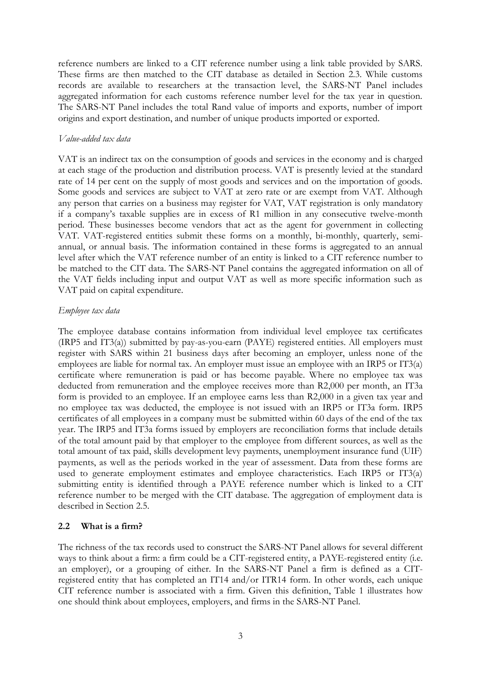reference numbers are linked to a CIT reference number using a link table provided by SARS. These firms are then matched to the CIT database as detailed in Section 2.3. While customs records are available to researchers at the transaction level, the SARS-NT Panel includes aggregated information for each customs reference number level for the tax year in question. The SARS-NT Panel includes the total Rand value of imports and exports, number of import origins and export destination, and number of unique products imported or exported.

#### *Value-added tax data*

VAT is an indirect tax on the consumption of goods and services in the economy and is charged at each stage of the production and distribution process. VAT is presently levied at the standard rate of 14 per cent on the supply of most goods and services and on the importation of goods. Some goods and services are subject to VAT at zero rate or are exempt from VAT. Although any person that carries on a business may register for VAT, VAT registration is only mandatory if a company's taxable supplies are in excess of R1 million in any consecutive twelve-month period. These businesses become vendors that act as the agent for government in collecting VAT. VAT-registered entities submit these forms on a monthly, bi-monthly, quarterly, semiannual, or annual basis. The information contained in these forms is aggregated to an annual level after which the VAT reference number of an entity is linked to a CIT reference number to be matched to the CIT data. The SARS-NT Panel contains the aggregated information on all of the VAT fields including input and output VAT as well as more specific information such as VAT paid on capital expenditure.

#### *Employee tax data*

The employee database contains information from individual level employee tax certificates (IRP5 and IT3(a)) submitted by pay-as-you-earn (PAYE) registered entities. All employers must register with SARS within 21 business days after becoming an employer, unless none of the employees are liable for normal tax. An employer must issue an employee with an IRP5 or IT3(a) certificate where remuneration is paid or has become payable. Where no employee tax was deducted from remuneration and the employee receives more than R2,000 per month, an IT3a form is provided to an employee. If an employee earns less than R2,000 in a given tax year and no employee tax was deducted, the employee is not issued with an IRP5 or IT3a form. IRP5 certificates of all employees in a company must be submitted within 60 days of the end of the tax year. The IRP5 and IT3a forms issued by employers are reconciliation forms that include details of the total amount paid by that employer to the employee from different sources, as well as the total amount of tax paid, skills development levy payments, unemployment insurance fund (UIF) payments, as well as the periods worked in the year of assessment. Data from these forms are used to generate employment estimates and employee characteristics. Each IRP5 or IT3(a) submitting entity is identified through a PAYE reference number which is linked to a CIT reference number to be merged with the CIT database. The aggregation of employment data is described in Section 2.5.

# **2.2 What is a firm?**

The richness of the tax records used to construct the SARS-NT Panel allows for several different ways to think about a firm: a firm could be a CIT-registered entity, a PAYE-registered entity (i.e. an employer), or a grouping of either. In the SARS-NT Panel a firm is defined as a CITregistered entity that has completed an IT14 and/or ITR14 form. In other words, each unique CIT reference number is associated with a firm. Given this definition, Table 1 illustrates how one should think about employees, employers, and firms in the SARS-NT Panel.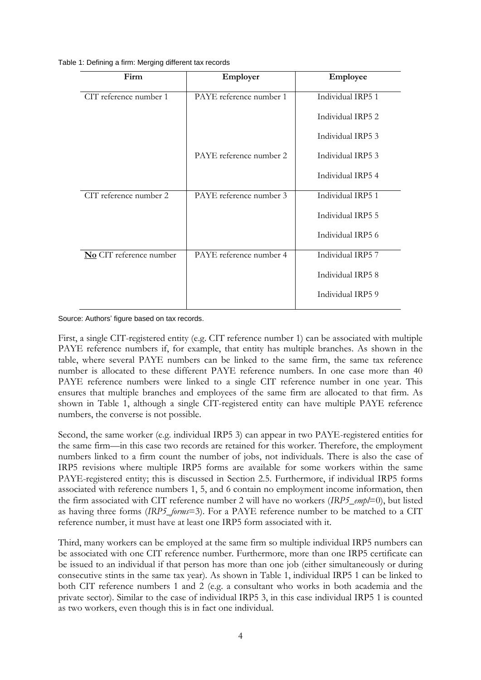| Firm                    | Employer                | Employee          |
|-------------------------|-------------------------|-------------------|
| CIT reference number 1  | PAYE reference number 1 | Individual IRP5 1 |
|                         |                         | Individual IRP5 2 |
|                         |                         | Individual IRP5 3 |
|                         | PAYE reference number 2 | Individual IRP5 3 |
|                         |                         | Individual IRP5 4 |
| CIT reference number 2  | PAYE reference number 3 | Individual IRP5 1 |
|                         |                         | Individual IRP5 5 |
|                         |                         | Individual IRP5 6 |
| No CIT reference number | PAYE reference number 4 | Individual IRP5 7 |
|                         |                         | Individual IRP5 8 |
|                         |                         | Individual IRP5 9 |
|                         |                         |                   |

Table 1: Defining a firm: Merging different tax records

Source: Authors' figure based on tax records.

First, a single CIT-registered entity (e.g. CIT reference number 1) can be associated with multiple PAYE reference numbers if, for example, that entity has multiple branches. As shown in the table, where several PAYE numbers can be linked to the same firm, the same tax reference number is allocated to these different PAYE reference numbers. In one case more than 40 PAYE reference numbers were linked to a single CIT reference number in one year. This ensures that multiple branches and employees of the same firm are allocated to that firm. As shown in Table 1, although a single CIT-registered entity can have multiple PAYE reference numbers, the converse is not possible.

Second, the same worker (e.g. individual IRP5 3) can appear in two PAYE-registered entities for the same firm—in this case two records are retained for this worker. Therefore, the employment numbers linked to a firm count the number of jobs, not individuals. There is also the case of IRP5 revisions where multiple IRP5 forms are available for some workers within the same PAYE-registered entity; this is discussed in Section 2.5. Furthermore, if individual IRP5 forms associated with reference numbers 1, 5, and 6 contain no employment income information, then the firm associated with CIT reference number 2 will have no workers (*IRP5\_empl*=0), but listed as having three forms (*IRP5\_forms*=3). For a PAYE reference number to be matched to a CIT reference number, it must have at least one IRP5 form associated with it.

Third, many workers can be employed at the same firm so multiple individual IRP5 numbers can be associated with one CIT reference number. Furthermore, more than one IRP5 certificate can be issued to an individual if that person has more than one job (either simultaneously or during consecutive stints in the same tax year). As shown in Table 1, individual IRP5 1 can be linked to both CIT reference numbers 1 and 2 (e.g. a consultant who works in both academia and the private sector). Similar to the case of individual IRP5 3, in this case individual IRP5 1 is counted as two workers, even though this is in fact one individual.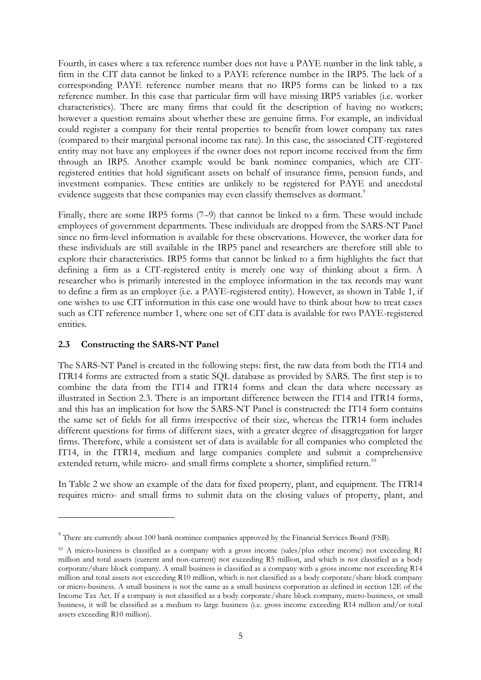Fourth, in cases where a tax reference number does not have a PAYE number in the link table, a firm in the CIT data cannot be linked to a PAYE reference number in the IRP5. The lack of a corresponding PAYE reference number means that no IRP5 forms can be linked to a tax reference number. In this case that particular firm will have missing IRP5 variables (i.e. worker characteristics). There are many firms that could fit the description of having no workers; however a question remains about whether these are genuine firms. For example, an individual could register a company for their rental properties to benefit from lower company tax rates (compared to their marginal personal income tax rate). In this case, the associated CIT-registered entity may not have any employees if the owner does not report income received from the firm through an IRP5. Another example would be bank nominee companies, which are CITregistered entities that hold significant assets on behalf of insurance firms, pension funds, and investment companies. These entities are unlikely to be registered for PAYE and anecdotal evidence suggests that these companies may even classify themselves as dormant.<sup>9</sup>

Finally, there are some IRP5 forms (7–9) that cannot be linked to a firm. These would include employees of government departments. These individuals are dropped from the SARS-NT Panel since no firm-level information is available for these observations. However, the worker data for these individuals are still available in the IRP5 panel and researchers are therefore still able to explore their characteristics. IRP5 forms that cannot be linked to a firm highlights the fact that defining a firm as a CIT-registered entity is merely one way of thinking about a firm. A researcher who is primarily interested in the employee information in the tax records may want to define a firm as an employer (i.e. a PAYE-registered entity). However, as shown in Table 1, if one wishes to use CIT information in this case one would have to think about how to treat cases such as CIT reference number 1, where one set of CIT data is available for two PAYE-registered entities.

# **2.3 Constructing the SARS-NT Panel**

<u>.</u>

The SARS-NT Panel is created in the following steps: first, the raw data from both the IT14 and ITR14 forms are extracted from a static SQL database as provided by SARS. The first step is to combine the data from the IT14 and ITR14 forms and clean the data where necessary as illustrated in Section 2.3. There is an important difference between the IT14 and ITR14 forms, and this has an implication for how the SARS-NT Panel is constructed: the IT14 form contains the same set of fields for all firms irrespective of their size, whereas the ITR14 form includes different questions for firms of different sizes, with a greater degree of disaggregation for larger firms. Therefore, while a consistent set of data is available for all companies who completed the IT14, in the ITR14, medium and large companies complete and submit a comprehensive extended return, while micro- and small firms complete a shorter, simplified return.<sup>10</sup>

In Table 2 we show an example of the data for fixed property, plant, and equipment. The ITR14 requires micro- and small firms to submit data on the closing values of property, plant, and

<sup>&</sup>lt;sup>9</sup> There are currently about 100 bank nominee companies approved by the Financial Services Board (FSB).

<sup>10</sup> A micro-business is classified as a company with a gross income (sales/plus other income) not exceeding R1 million and total assets (current and non-current) not exceeding R5 million, and which is not classified as a body corporate/share block company. A small business is classified as a company with a gross income not exceeding R14 million and total assets not exceeding R10 million, which is not classified as a body corporate/share block company or micro-business. A small business is not the same as a small business corporation as defined in section 12E of the Income Tax Act. If a company is not classified as a body corporate/share block company, micro-business, or small business, it will be classified as a medium to large business (i.e. gross income exceeding R14 million and/or total assets exceeding R10 million).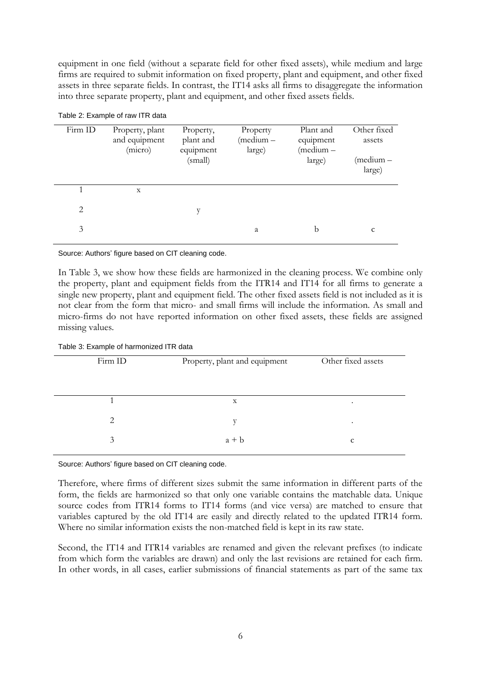equipment in one field (without a separate field for other fixed assets), while medium and large firms are required to submit information on fixed property, plant and equipment, and other fixed assets in three separate fields. In contrast, the IT14 asks all firms to disaggregate the information into three separate property, plant and equipment, and other fixed assets fields.

Table 2: Example of raw ITR data

| Firm ID | Property, plant<br>and equipment<br>(micro) | Property,<br>plant and<br>equipment<br>(small) | Property<br>(medium -<br>large) | Plant and<br>equipment<br>(medium –<br>large) | Other fixed<br>assets<br>(medium –<br>large) |
|---------|---------------------------------------------|------------------------------------------------|---------------------------------|-----------------------------------------------|----------------------------------------------|
|         | X                                           |                                                |                                 |                                               |                                              |
| 2       |                                             | v                                              |                                 |                                               |                                              |
| 3       |                                             |                                                | a                               | b                                             | C                                            |
|         |                                             |                                                |                                 |                                               |                                              |

Source: Authors' figure based on CIT cleaning code.

In Table 3, we show how these fields are harmonized in the cleaning process. We combine only the property, plant and equipment fields from the ITR14 and IT14 for all firms to generate a single new property, plant and equipment field. The other fixed assets field is not included as it is not clear from the form that micro- and small firms will include the information. As small and micro-firms do not have reported information on other fixed assets, these fields are assigned missing values.

Table 3: Example of harmonized ITR data

| Firm ID | Property, plant and equipment | Other fixed assets |
|---------|-------------------------------|--------------------|
|         | X                             | ۰                  |
| 2       |                               | ٠                  |
| 3       | $a + b$                       | C                  |

Source: Authors' figure based on CIT cleaning code.

Therefore, where firms of different sizes submit the same information in different parts of the form, the fields are harmonized so that only one variable contains the matchable data. Unique source codes from ITR14 forms to IT14 forms (and vice versa) are matched to ensure that variables captured by the old IT14 are easily and directly related to the updated ITR14 form. Where no similar information exists the non-matched field is kept in its raw state.

Second, the IT14 and ITR14 variables are renamed and given the relevant prefixes (to indicate from which form the variables are drawn) and only the last revisions are retained for each firm. In other words, in all cases, earlier submissions of financial statements as part of the same tax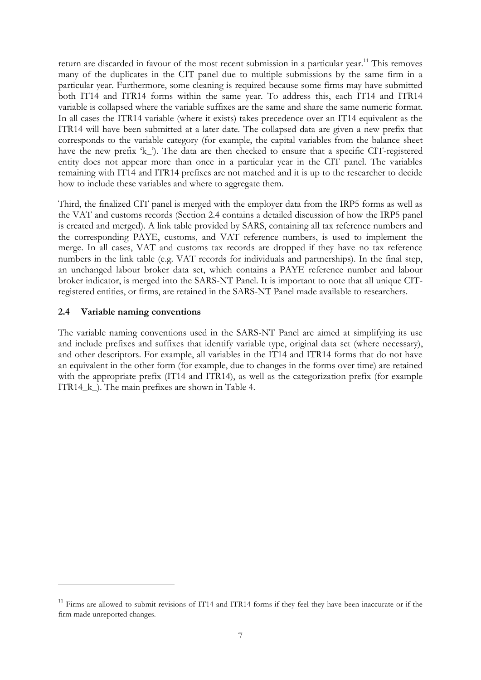return are discarded in favour of the most recent submission in a particular year.<sup>11</sup> This removes many of the duplicates in the CIT panel due to multiple submissions by the same firm in a particular year. Furthermore, some cleaning is required because some firms may have submitted both IT14 and ITR14 forms within the same year. To address this, each IT14 and ITR14 variable is collapsed where the variable suffixes are the same and share the same numeric format. In all cases the ITR14 variable (where it exists) takes precedence over an IT14 equivalent as the ITR14 will have been submitted at a later date. The collapsed data are given a new prefix that corresponds to the variable category (for example, the capital variables from the balance sheet have the new prefix 'k\_'). The data are then checked to ensure that a specific CIT-registered entity does not appear more than once in a particular year in the CIT panel. The variables remaining with IT14 and ITR14 prefixes are not matched and it is up to the researcher to decide how to include these variables and where to aggregate them.

Third, the finalized CIT panel is merged with the employer data from the IRP5 forms as well as the VAT and customs records (Section 2.4 contains a detailed discussion of how the IRP5 panel is created and merged). A link table provided by SARS, containing all tax reference numbers and the corresponding PAYE, customs, and VAT reference numbers, is used to implement the merge. In all cases, VAT and customs tax records are dropped if they have no tax reference numbers in the link table (e.g. VAT records for individuals and partnerships). In the final step, an unchanged labour broker data set, which contains a PAYE reference number and labour broker indicator, is merged into the SARS-NT Panel. It is important to note that all unique CITregistered entities, or firms, are retained in the SARS-NT Panel made available to researchers.

# **2.4 Variable naming conventions**

<u>.</u>

The variable naming conventions used in the SARS-NT Panel are aimed at simplifying its use and include prefixes and suffixes that identify variable type, original data set (where necessary), and other descriptors. For example, all variables in the IT14 and ITR14 forms that do not have an equivalent in the other form (for example, due to changes in the forms over time) are retained with the appropriate prefix (IT14 and ITR14), as well as the categorization prefix (for example ITR14 $_k$ ). The main prefixes are shown in Table 4.

 $11$  Firms are allowed to submit revisions of IT14 and ITR14 forms if they feel they have been inaccurate or if the firm made unreported changes.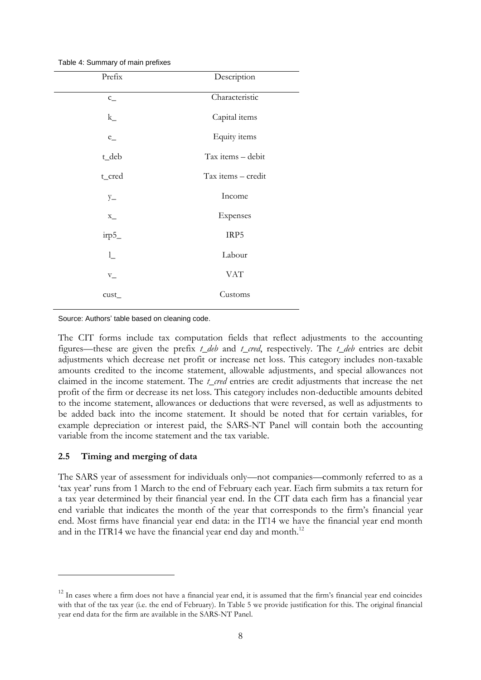| Table 4: Summary of main prefixes |
|-----------------------------------|
|-----------------------------------|

| Prefix                                                             | Description        |
|--------------------------------------------------------------------|--------------------|
| $C_{\underline{\phantom{m}}}\phantom{C_{\underline{\phantom{m}}}}$ | Characteristic     |
| $k_{-}$                                                            | Capital items      |
| $e_{-}$                                                            | Equity items       |
| t_deb                                                              | Tax items - debit  |
| t_cred                                                             | Tax items - credit |
| $y_{-}$                                                            | Income             |
| $\mathbf{x}_{-}$                                                   | Expenses           |
| irp5_                                                              | IRP5               |
| $l_{-}$                                                            | Labour             |
| $\mathbf{V}_{\perp}$                                               | <b>VAT</b>         |
| $\text{cust}_{-}$                                                  | Customs            |

Source: Authors' table based on cleaning code.

The CIT forms include tax computation fields that reflect adjustments to the accounting figures—these are given the prefix *t\_deb* and *t\_cred*, respectively. The *t\_deb* entries are debit adjustments which decrease net profit or increase net loss. This category includes non-taxable amounts credited to the income statement, allowable adjustments, and special allowances not claimed in the income statement. The *t\_cred* entries are credit adjustments that increase the net profit of the firm or decrease its net loss. This category includes non-deductible amounts debited to the income statement, allowances or deductions that were reversed, as well as adjustments to be added back into the income statement. It should be noted that for certain variables, for example depreciation or interest paid, the SARS-NT Panel will contain both the accounting variable from the income statement and the tax variable.

#### **2.5 Timing and merging of data**

-

The SARS year of assessment for individuals only—not companies—commonly referred to as a 'tax year' runs from 1 March to the end of February each year. Each firm submits a tax return for a tax year determined by their financial year end. In the CIT data each firm has a financial year end variable that indicates the month of the year that corresponds to the firm's financial year end. Most firms have financial year end data: in the IT14 we have the financial year end month and in the ITR14 we have the financial year end day and month.<sup>12</sup>

 $12$  In cases where a firm does not have a financial year end, it is assumed that the firm's financial year end coincides with that of the tax year (i.e. the end of February). In Table 5 we provide justification for this. The original financial year end data for the firm are available in the SARS-NT Panel.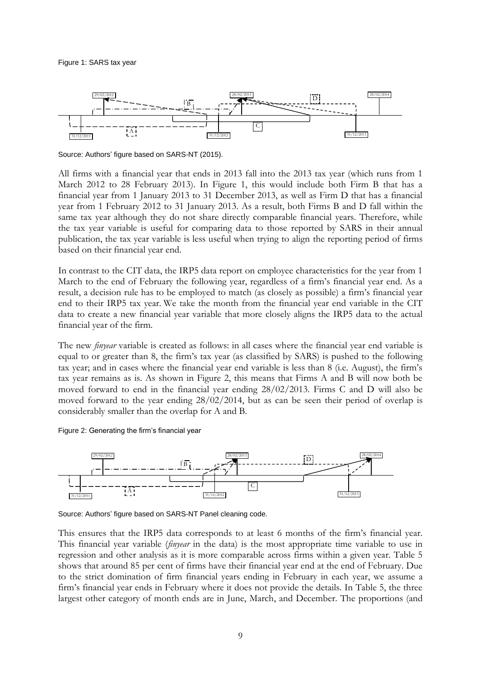

Source: Authors' figure based on SARS-NT (2015).

All firms with a financial year that ends in 2013 fall into the 2013 tax year (which runs from 1 March 2012 to 28 February 2013). In Figure 1, this would include both Firm B that has a financial year from 1 January 2013 to 31 December 2013, as well as Firm D that has a financial year from 1 February 2012 to 31 January 2013. As a result, both Firms B and D fall within the same tax year although they do not share directly comparable financial years. Therefore, while the tax year variable is useful for comparing data to those reported by SARS in their annual publication, the tax year variable is less useful when trying to align the reporting period of firms based on their financial year end.

In contrast to the CIT data, the IRP5 data report on employee characteristics for the year from 1 March to the end of February the following year, regardless of a firm's financial year end. As a result, a decision rule has to be employed to match (as closely as possible) a firm's financial year end to their IRP5 tax year. We take the month from the financial year end variable in the CIT data to create a new financial year variable that more closely aligns the IRP5 data to the actual financial year of the firm.

The new *finyear* variable is created as follows: in all cases where the financial year end variable is equal to or greater than 8, the firm's tax year (as classified by SARS) is pushed to the following tax year; and in cases where the financial year end variable is less than 8 (i.e. August), the firm's tax year remains as is. As shown in Figure 2, this means that Firms A and B will now both be moved forward to end in the financial year ending 28/02/2013. Firms C and D will also be moved forward to the year ending 28/02/2014, but as can be seen their period of overlap is considerably smaller than the overlap for A and B.

Figure 2: Generating the firm's financial year



Source: Authors' figure based on SARS-NT Panel cleaning code.

This ensures that the IRP5 data corresponds to at least 6 months of the firm's financial year. This financial year variable (*finyear* in the data) is the most appropriate time variable to use in regression and other analysis as it is more comparable across firms within a given year. Table 5 shows that around 85 per cent of firms have their financial year end at the end of February. Due to the strict domination of firm financial years ending in February in each year, we assume a firm's financial year ends in February where it does not provide the details. In Table 5, the three largest other category of month ends are in June, March, and December. The proportions (and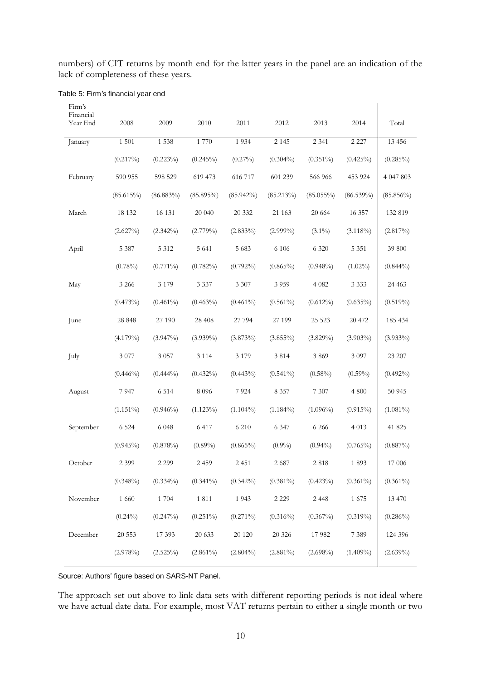numbers) of CIT returns by month end for the latter years in the panel are an indication of the lack of completeness of these years.

| Firm's<br>Financial<br>Year End | 2008        | 2009         | 2010         | 2011         | 2012         | 2013         | 2014         | Total        |
|---------------------------------|-------------|--------------|--------------|--------------|--------------|--------------|--------------|--------------|
| January                         | 1 5 0 1     | 1538         | 1770         | 1934         | 2 1 4 5      | 2 3 4 1      | 2 2 2 7      | 13 4 5 6     |
|                                 | $(0.217\%)$ | $(0.223\%)$  | $(0.245\%)$  | $(0.27\%)$   | $(0.304\%)$  | $(0.351\%)$  | $(0.425\%)$  | $(0.285\%)$  |
| February                        | 590 955     | 598 529      | 619 473      | 616 717      | 601 239      | 566 966      | 453 924      | 4 047 803    |
|                                 | (85.615%)   | $(86.883\%)$ | $(85.895\%)$ | $(85.942\%)$ | $(85.213\%)$ | $(85.055\%)$ | $(86.539\%)$ | $(85.856\%)$ |
| March                           | 18 132      | 16 131       | 20 040       | 20 332       | 21 163       | 20 664       | 16 357       | 132 819      |
|                                 | $(2.627\%)$ | $(2.342\%)$  | $(2.779\%)$  | $(2.833\%)$  | $(2.999\%)$  | $(3.1\%)$    | $(3.118\%)$  | $(2.817\%)$  |
| April                           | 5 3 8 7     | 5 3 1 2      | 5 6 4 1      | 5 6 8 3      | 6 1 0 6      | 6 3 2 0      | 5 3 5 1      | 39 800       |
|                                 | $(0.78\%)$  | $(0.771\%)$  | $(0.782\%)$  | $(0.792\%)$  | $(0.865\%)$  | $(0.948\%)$  | $(1.02\%)$   | $(0.844\%)$  |
| May                             | 3 2 6 6     | 3 1 7 9      | 3 3 3 7      | 3 3 0 7      | 3 9 5 9      | 4 0 8 2      | 3 3 3 3      | 24 4 63      |
|                                 | $(0.473\%)$ | $(0.461\%)$  | $(0.463\%)$  | $(0.461\%)$  | $(0.561\%)$  | $(0.612\%)$  | $(0.635\%)$  | $(0.519\%)$  |
| June                            | 28 848      | 27 190       | 28 40 8      | 27 794       | 27 199       | 25 5 23      | 20 472       | 185 434      |
|                                 | $(4.179\%)$ | $(3.947\%)$  | $(3.939\%)$  | $(3.873\%)$  | $(3.855\%)$  | $(3.829\%)$  | $(3.903\%)$  | $(3.933\%)$  |
| July                            | 3 0 7 7     | 3 0 5 7      | 3 1 1 4      | 3 1 7 9      | 3814         | 3869         | 3 0 9 7      | 23 207       |
|                                 | $(0.446\%)$ | $(0.444\%)$  | $(0.432\%)$  | $(0.443\%)$  | $(0.541\%)$  | $(0.58\%)$   | $(0.59\%)$   | $(0.492\%)$  |
| August                          | 7947        | 6 5 1 4      | 8 0 9 6      | 7924         | 8 3 5 7      | 7 3 0 7      | 4 800        | 50 945       |
|                                 | $(1.151\%)$ | $(0.946\%)$  | $(1.123\%)$  | $(1.104\%)$  | $(1.184\%)$  | $(1.096\%)$  | $(0.915\%)$  | $(1.081\%)$  |
| September                       | 6 5 24      | 6 0 4 8      | 6 4 1 7      | 6 2 10       | 6 3 4 7      | 6 2 6 6      | 4 0 1 3      | 41 825       |
|                                 | $(0.945\%)$ | $(0.878\%)$  | $(0.89\%)$   | $(0.865\%)$  | $(0.9\%)$    | $(0.94\%)$   | $(0.765\%)$  | $(0.887\%)$  |
| October                         | 2 3 9 9     | 2 2 9 9      | 2 4 5 9      | 2 4 5 1      | 2687         | $2\;818$     | 1893         | $17\;006$    |
|                                 | $(0.348\%)$ | $(0.334\%)$  | $(0.341\%)$  | $(0.342\%)$  | $(0.381\%)$  | $(0.423\%)$  | $(0.361\%)$  | $(0.361\%)$  |
| November                        | 1 6 6 0     | 1704         | 1811         | 1943         | 2 2 2 9      | 2 4 4 8      | 1675         | 13 470       |
|                                 | $(0.24\%)$  | (0.247%)     | $(0.251\%)$  | $(0.271\%)$  | $(0.316\%)$  | $(0.367\%)$  | $(0.319\%)$  | $(0.286\%)$  |
| December                        | 20 553      | 17 393       | 20 633       | 20 120       | 20 3 26      | 17 982       | 7 3 8 9      | 124 396      |
|                                 | $(2.978\%)$ | $(2.525\%)$  | $(2.861\%)$  | $(2.804\%)$  | $(2.881\%)$  | $(2.698\%)$  | $(1.409\%)$  | $(2.639\%)$  |

Table 5: Firm*'s* financial year end

Source: Authors' figure based on SARS-NT Panel.

The approach set out above to link data sets with different reporting periods is not ideal where we have actual date data. For example, most VAT returns pertain to either a single month or two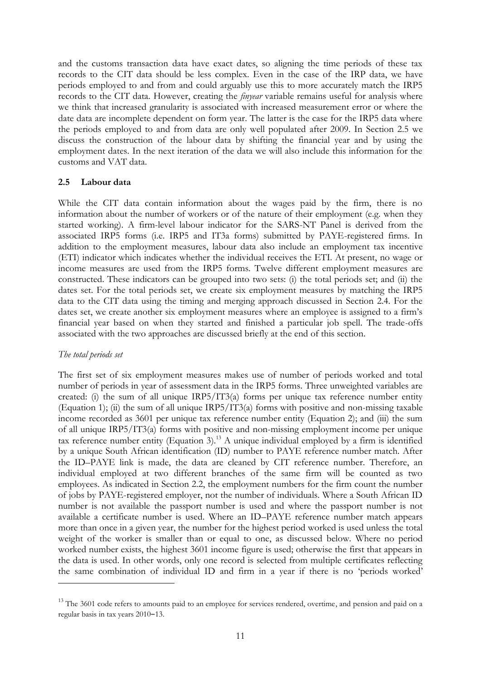and the customs transaction data have exact dates, so aligning the time periods of these tax records to the CIT data should be less complex. Even in the case of the IRP data, we have periods employed to and from and could arguably use this to more accurately match the IRP5 records to the CIT data. However, creating the *finyear* variable remains useful for analysis where we think that increased granularity is associated with increased measurement error or where the date data are incomplete dependent on form year. The latter is the case for the IRP5 data where the periods employed to and from data are only well populated after 2009. In Section 2.5 we discuss the construction of the labour data by shifting the financial year and by using the employment dates. In the next iteration of the data we will also include this information for the customs and VAT data.

#### **2.5 Labour data**

While the CIT data contain information about the wages paid by the firm, there is no information about the number of workers or of the nature of their employment (e.g. when they started working). A firm-level labour indicator for the SARS-NT Panel is derived from the associated IRP5 forms (i.e. IRP5 and IT3a forms) submitted by PAYE-registered firms. In addition to the employment measures, labour data also include an employment tax incentive (ETI) indicator which indicates whether the individual receives the ETI. At present, no wage or income measures are used from the IRP5 forms. Twelve different employment measures are constructed. These indicators can be grouped into two sets: (i) the total periods set; and (ii) the dates set. For the total periods set, we create six employment measures by matching the IRP5 data to the CIT data using the timing and merging approach discussed in Section 2.4. For the dates set, we create another six employment measures where an employee is assigned to a firm's financial year based on when they started and finished a particular job spell. The trade-offs associated with the two approaches are discussed briefly at the end of this section.

#### *The total periods set*

<u>.</u>

The first set of six employment measures makes use of number of periods worked and total number of periods in year of assessment data in the IRP5 forms. Three unweighted variables are created: (i) the sum of all unique  $IRP5/IT3(a)$  forms per unique tax reference number entity (Equation 1); (ii) the sum of all unique IRP5/IT3(a) forms with positive and non-missing taxable income recorded as 3601 per unique tax reference number entity (Equation 2); and (iii) the sum of all unique IRP5/IT3(a) forms with positive and non-missing employment income per unique tax reference number entity (Equation 3).<sup>13</sup> A unique individual employed by a firm is identified by a unique South African identification (ID) number to PAYE reference number match. After the ID–PAYE link is made, the data are cleaned by CIT reference number. Therefore, an individual employed at two different branches of the same firm will be counted as two employees. As indicated in Section 2.2, the employment numbers for the firm count the number of jobs by PAYE-registered employer, not the number of individuals. Where a South African ID number is not available the passport number is used and where the passport number is not available a certificate number is used. Where an ID–PAYE reference number match appears more than once in a given year, the number for the highest period worked is used unless the total weight of the worker is smaller than or equal to one, as discussed below. Where no period worked number exists, the highest 3601 income figure is used; otherwise the first that appears in the data is used. In other words, only one record is selected from multiple certificates reflecting the same combination of individual ID and firm in a year if there is no 'periods worked'

<sup>&</sup>lt;sup>13</sup> The 3601 code refers to amounts paid to an employee for services rendered, overtime, and pension and paid on a regular basis in tax years 2010‒13.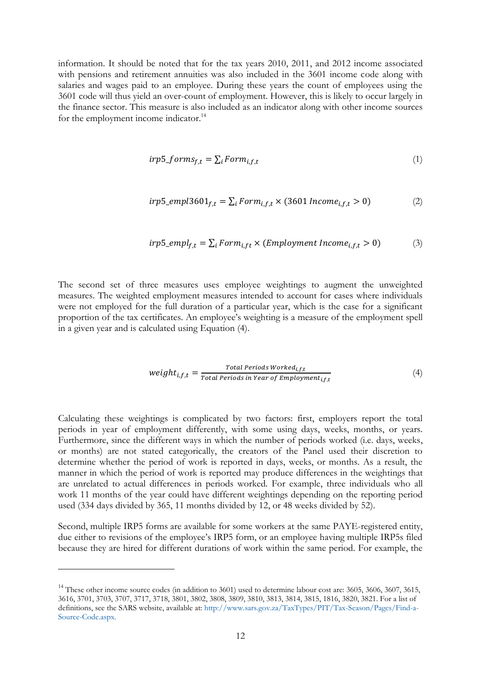information. It should be noted that for the tax years 2010, 2011, and 2012 income associated with pensions and retirement annuities was also included in the 3601 income code along with salaries and wages paid to an employee. During these years the count of employees using the 3601 code will thus yield an over-count of employment. However, this is likely to occur largely in the finance sector. This measure is also included as an indicator along with other income sources for the employment income indicator.<sup>14</sup>

$$
irp5\_forms_{f,t} = \sum_{i} Form_{i,f,t}
$$
\n<sup>(1)</sup>

$$
irp5\_empl3601_{f,t} = \sum_{i} Form_{i,f,t} \times (3601\,hcome_{i,f,t} > 0)
$$
 (2)

$$
irp5\_empl_{f,t} = \sum_{i} Form_{i,ft} \times (Employment Income_{i,f,t} > 0)
$$
 (3)

The second set of three measures uses employee weightings to augment the unweighted measures. The weighted employment measures intended to account for cases where individuals were not employed for the full duration of a particular year, which is the case for a significant proportion of the tax certificates. An employee's weighting is a measure of the employment spell in a given year and is calculated using Equation (4).

$$
weight_{i,f,t} = \frac{Total\ Periods\ Worked_{i,f,t}}{Total\ Periods\ in\ Year\ of\ Employment_{i,f,t}}
$$
(4)

Calculating these weightings is complicated by two factors: first, employers report the total periods in year of employment differently, with some using days, weeks, months, or years. Furthermore, since the different ways in which the number of periods worked (i.e. days, weeks, or months) are not stated categorically, the creators of the Panel used their discretion to determine whether the period of work is reported in days, weeks, or months. As a result, the manner in which the period of work is reported may produce differences in the weightings that are unrelated to actual differences in periods worked. For example, three individuals who all work 11 months of the year could have different weightings depending on the reporting period used (334 days divided by 365, 11 months divided by 12, or 48 weeks divided by 52).

Second, multiple IRP5 forms are available for some workers at the same PAYE-registered entity, due either to revisions of the employee's IRP5 form, or an employee having multiple IRP5s filed because they are hired for different durations of work within the same period. For example, the

-

<sup>&</sup>lt;sup>14</sup> These other income source codes (in addition to 3601) used to determine labour cost are: 3605, 3606, 3607, 3615, 3616, 3701, 3703, 3707, 3717, 3718, 3801, 3802, 3808, 3809, 3810, 3813, 3814, 3815, 1816, 3820, 3821. For a list of definitions, see the SARS website, available at: [http://www.sars.gov.za/TaxTypes/PIT/Tax-Season/Pages/Find-a-](http://www.sars.gov.za/TaxTypes/PIT/Tax-Season/Pages/Find-a-Source-Code.aspx)[Source-Code.aspx.](http://www.sars.gov.za/TaxTypes/PIT/Tax-Season/Pages/Find-a-Source-Code.aspx)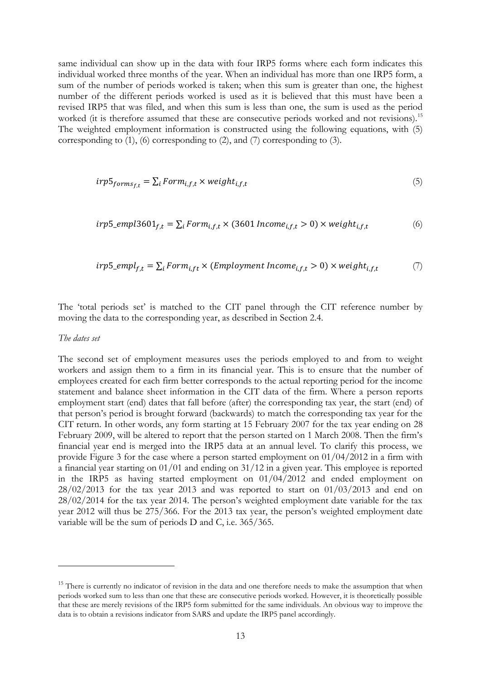same individual can show up in the data with four IRP5 forms where each form indicates this individual worked three months of the year. When an individual has more than one IRP5 form, a sum of the number of periods worked is taken; when this sum is greater than one, the highest number of the different periods worked is used as it is believed that this must have been a revised IRP5 that was filed, and when this sum is less than one, the sum is used as the period worked (it is therefore assumed that these are consecutive periods worked and not revisions).<sup>15</sup> The weighted employment information is constructed using the following equations, with (5) corresponding to (1), (6) corresponding to (2), and (7) corresponding to (3).

$$
irp5forms_{f,t} = \sum_{i} Form_{i,f,t} \times weight_{i,f,t}
$$
 (5)

$$
irp5\_empl3601_{f,t} = \sum_{i} Form_{i,f,t} \times (3601\, Income_{i,f,t} > 0) \times weight_{i,f,t} \tag{6}
$$

$$
irp5\_empl_{f,t} = \sum_{i} Form_{i,ft} \times (Employment Income_{i,f,t} > 0) \times weight_{i,f,t}
$$
 (7)

The 'total periods set' is matched to the CIT panel through the CIT reference number by moving the data to the corresponding year, as described in Section 2.4.

#### *The dates set*

-

The second set of employment measures uses the periods employed to and from to weight workers and assign them to a firm in its financial year. This is to ensure that the number of employees created for each firm better corresponds to the actual reporting period for the income statement and balance sheet information in the CIT data of the firm. Where a person reports employment start (end) dates that fall before (after) the corresponding tax year, the start (end) of that person's period is brought forward (backwards) to match the corresponding tax year for the CIT return. In other words, any form starting at 15 February 2007 for the tax year ending on 28 February 2009, will be altered to report that the person started on 1 March 2008. Then the firm's financial year end is merged into the IRP5 data at an annual level. To clarify this process, we provide Figure 3 for the case where a person started employment on 01/04/2012 in a firm with a financial year starting on 01/01 and ending on 31/12 in a given year. This employee is reported in the IRP5 as having started employment on 01/04/2012 and ended employment on  $28/02/2013$  for the tax year 2013 and was reported to start on  $01/03/2013$  and end on 28/02/2014 for the tax year 2014. The person's weighted employment date variable for the tax year 2012 will thus be 275/366. For the 2013 tax year, the person's weighted employment date variable will be the sum of periods D and C, i.e. 365/365.

 $15$  There is currently no indicator of revision in the data and one therefore needs to make the assumption that when periods worked sum to less than one that these are consecutive periods worked. However, it is theoretically possible that these are merely revisions of the IRP5 form submitted for the same individuals. An obvious way to improve the data is to obtain a revisions indicator from SARS and update the IRP5 panel accordingly.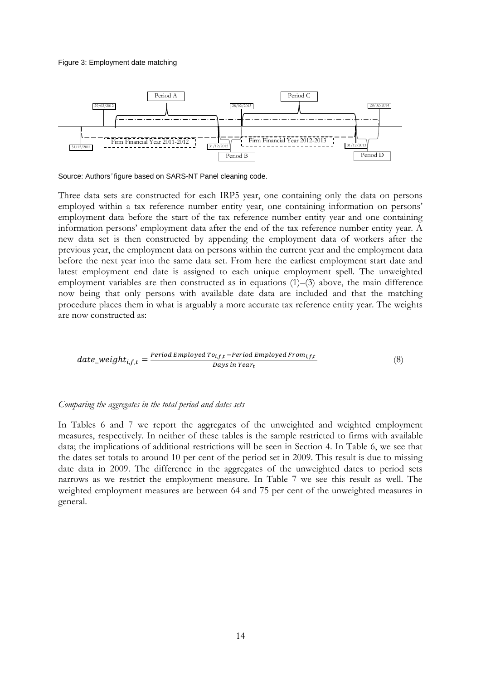#### Figure 3: Employment date matching



Source: Authors*'* figure based on SARS-NT Panel cleaning code.

Three data sets are constructed for each IRP5 year, one containing only the data on persons employed within a tax reference number entity year, one containing information on persons' employment data before the start of the tax reference number entity year and one containing information persons' employment data after the end of the tax reference number entity year. A new data set is then constructed by appending the employment data of workers after the previous year, the employment data on persons within the current year and the employment data before the next year into the same data set. From here the earliest employment start date and latest employment end date is assigned to each unique employment spell. The unweighted employment variables are then constructed as in equations  $(1)$ – $(3)$  above, the main difference now being that only persons with available date data are included and that the matching procedure places them in what is arguably a more accurate tax reference entity year. The weights are now constructed as:

$$
date\_weight_{i,f,t} = \frac{Period\ Employd\ To_{i,f,t} - Period\ Employd\ From_{i,f,t}}{Days\ in\ Year_t}
$$
\n(8)

#### *Comparing the aggregates in the total period and dates sets*

In Tables 6 and 7 we report the aggregates of the unweighted and weighted employment measures, respectively. In neither of these tables is the sample restricted to firms with available data; the implications of additional restrictions will be seen in Section 4. In Table 6, we see that the dates set totals to around 10 per cent of the period set in 2009. This result is due to missing date data in 2009. The difference in the aggregates of the unweighted dates to period sets narrows as we restrict the employment measure. In Table 7 we see this result as well. The weighted employment measures are between 64 and 75 per cent of the unweighted measures in general.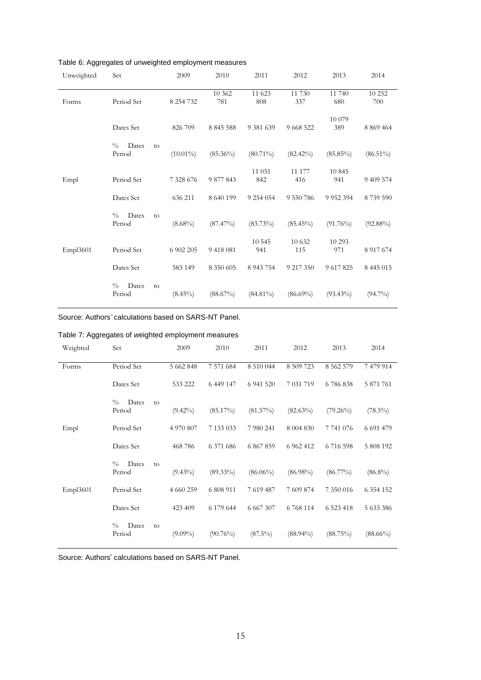| Unweighted | Set                              | 2009              | 2010          | 2011          | 2012          | 2013           | 2014           |
|------------|----------------------------------|-------------------|---------------|---------------|---------------|----------------|----------------|
| Forms      | Period Set                       | 8 254 732         | 10 362<br>781 | 11 623<br>808 | 11 730<br>337 | 11 740<br>680  | 10 25 2<br>700 |
|            | Dates Set                        | 826 709           | 8 8 4 5 5 8 8 | 9 381 639     | 9 6 68 5 22   | 10 079<br>389  | 8 869 464      |
|            | Dates<br>$\frac{0}{0}$<br>Period | to<br>$(10.01\%)$ | $(85.36\%)$   | $(80.71\%)$   | $(82.42\%)$   | $(85.85\%)$    | $(86.51\%)$    |
| Empl       | Period Set                       | 7 328 676         | 9 877 843     | 11 051<br>842 | 11 177<br>416 | 10845<br>941   | 9 409 574      |
|            | Dates Set                        | 636 211           | 8 640 199     | 9 254 054     | 9 550 786     | 9 9 5 2 3 9 4  | 8739590        |
|            | Dates<br>$\frac{0}{0}$<br>Period | to<br>$(8.68\%)$  | $(87.47\%)$   | $(83.73\%)$   | $(85.45\%)$   | $(91.76\%)$    | $(92.88\%)$    |
| Empl3601   | Period Set                       | 6 902 205         | 9 418 081     | 10 545<br>941 | 10 632<br>115 | 10 29 3<br>971 | 8 9 17 6 74    |
|            | Dates Set                        | 583 149           | 8 350 605     | 8 9 4 3 7 5 4 | 9 217 350     | 9 617 825      | 8 4 4 5 0 1 5  |
|            | $\frac{0}{0}$<br>Dates<br>Period | to<br>$(8.45\%)$  | $(88.67\%)$   | $(84.81\%)$   | $(86.69\%)$   | $(93.43\%)$    | $(94.7\%)$     |

#### Table 6: Aggregates of unweighted employment measures

# Source: Authors*'* calculations based on SARS-NT Panel.

#### Table 7: Aggregates of *w*eighted *e*mployment *m*easures

| Weighted | Set                                    | 2009          | 2010        | 2011        | 2012          | 2013          | 2014        |
|----------|----------------------------------------|---------------|-------------|-------------|---------------|---------------|-------------|
| Forms    | Period Set                             | 5 662 848     | 7 571 684   | 8 510 044   | 8 509 723     | 8 5 6 2 5 7 9 | 7 479 914   |
|          | Dates Set                              | 533 222       | 6 449 147   | 6 941 520   | 7 031 719     | 6786838       | 5 871 761   |
|          | $\frac{0}{0}$<br>Dates<br>to<br>Period | $(9.42\%)$    | $(85.17\%)$ | $(81.57\%)$ | $(82.63\%)$   | $(79.26\%)$   | $(78.5\%)$  |
| Empl     | Period Set                             | 4 9 7 0 8 0 7 | 7 133 033   | 7 980 241   | 8 004 830     | 7 741 076     | 6 691 479   |
|          | Dates Set                              | 468786        | 6 371 686   | 6 867 859   | 6 9 6 2 4 1 2 | 6 716 598     | 5 808 192   |
|          | $\frac{0}{0}$<br>Dates<br>to<br>Period | $(9.43\%)$    | $(89.33\%)$ | $(86.06\%)$ | $(86.98\%)$   | $(86.77\%)$   | $(86.8\%)$  |
| Empl3601 | Period Set                             | 4 660 259     | 6 808 911   | 7 619 487   | 7 609 874     | 7 350 016     | 6 354 152   |
|          | Dates Set                              | 423 409       | 6 179 644   | 6 667 307   | 6768114       | 6 5 23 4 18   | 5 633 386   |
|          | $\frac{0}{0}$<br>Dates<br>to<br>Period | $(9.09\%)$    | $(90.76\%)$ | $(87.5\%)$  | $(88.94\%)$   | $(88.75\%)$   | $(88.66\%)$ |

Source: Authors' calculations based on SARS-NT Panel.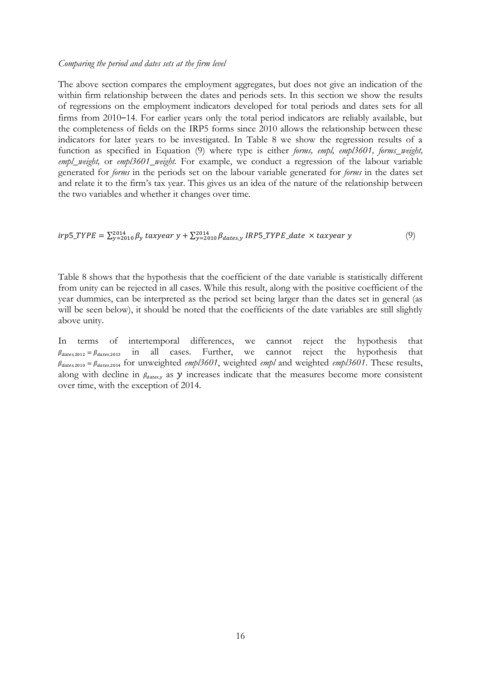#### *Comparing the period and dates sets at the firm level*

The above section compares the employment aggregates, but does not give an indication of the within firm relationship between the dates and periods sets. In this section we show the results of regressions on the employment indicators developed for total periods and dates sets for all firms from 2010–14. For earlier years only the total period indicators are reliably available, but the completeness of fields on the IRP5 forms since 2010 allows the relationship between these indicators for later years to be investigated. In Table 8 we show the regression results of a function as specified in Equation (9) where type is either *forms, empl, empl3601, forms\_weight, empl\_weight,* or *empl3601\_weight.* For example, we conduct a regression of the labour variable generated for *forms* in the periods set on the labour variable generated for *forms* in the dates set and relate it to the firm's tax year. This gives us an idea of the nature of the relationship between the two variables and whether it changes over time.

$$
irp5\_TYPE = \sum_{y=2010}^{2014} \beta_y \text{ taxyear } y + \sum_{y=2010}^{2014} \beta_{\text{ dates},y} \text{ IRPS\_TYPE\_date} \times \text{ taxyear } y \tag{9}
$$

Table 8 shows that the hypothesis that the coefficient of the date variable is statistically different from unity can be rejected in all cases. While this result, along with the positive coefficient of the year dummies, can be interpreted as the period set being larger than the dates set in general (as will be seen below), it should be noted that the coefficients of the date variables are still slightly above unity.

In terms of intertemporal differences, we cannot reject the hypothesis that  $\beta_{dates,2012} = \beta_{dates,2013}$  in all cases. Further, we cannot reject the hypothesis that  $\beta_{\text{dates,2010}} = \beta_{\text{dates,2014}}$  for unweighted *empl3601*, weighted *empl* and weighted *empl3601*. These results, along with decline in  $\beta_{\text{states}}$  as  $y$  increases indicate that the measures become more consistent over time, with the exception of 2014.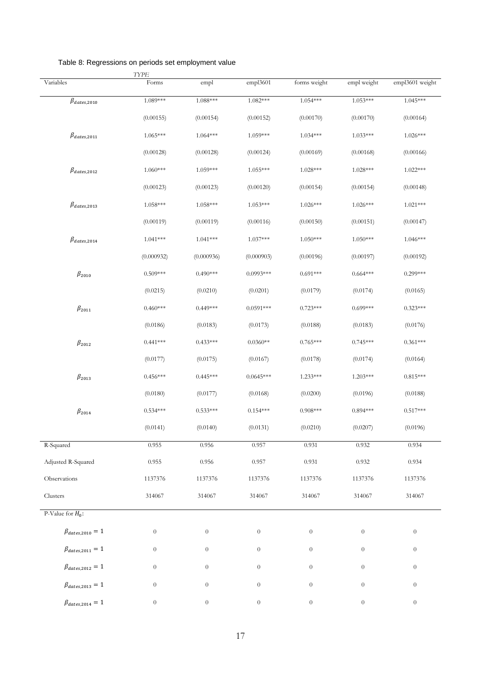|                          | $\ensuremath{\mathit{TYPE}}$ |                  |                  |                  |                  |                  |
|--------------------------|------------------------------|------------------|------------------|------------------|------------------|------------------|
| Variables                | Forms                        | empl             | empl3601         | forms weight     | empl weight      | empl3601 weight  |
| $\beta_{dates,2010}$     | $1.089***$                   | $1.088***$       | $1.082***$       | $1.054***$       | $1.053***$       | 1.045***         |
|                          | (0.00155)                    | (0.00154)        | (0.00152)        | (0.00170)        | (0.00170)        | (0.00164)        |
| $\beta_{dates,2011}$     | $1.065***$                   | $1.064***$       | 1.059***         | $1.034***$       | $1.033***$       | $1.026***$       |
|                          | (0.00128)                    | (0.00128)        | (0.00124)        | (0.00169)        | (0.00168)        | (0.00166)        |
| $\beta_{dates, 2012}$    | $1.060***$                   | $1.059***$       | $1.055***$       | $1.028***$       | $1.028***$       | $1.022***$       |
|                          | (0.00123)                    | (0.00123)        | (0.00120)        | (0.00154)        | (0.00154)        | (0.00148)        |
| $\beta_{dates,2013}$     | 1.058***                     | 1.058***         | $1.053***$       | $1.026***$       | $1.026***$       | $1.021***$       |
|                          | (0.00119)                    | (0.00119)        | (0.00116)        | (0.00150)        | (0.00151)        | (0.00147)        |
| $\beta_{dates,2014}$     | $1.041***$                   | $1.041***$       | $1.037***$       | $1.050***$       | $1.050***$       | $1.046***$       |
|                          | (0.000932)                   | (0.000936)       | (0.000903)       | (0.00196)        | (0.00197)        | (0.00192)        |
| $\beta_{2010}$           | $0.509***$                   | $0.490***$       | $0.0993***$      | $0.691***$       | $0.664***$       | $0.299***$       |
|                          | (0.0215)                     | (0.0210)         | (0.0201)         | (0.0179)         | (0.0174)         | (0.0165)         |
| $\beta_{2011}$           | $0.460***$                   | $0.449***$       | $0.0591***$      | $0.723***$       | $0.699***$       | $0.323***$       |
|                          | (0.0186)                     | (0.0183)         | (0.0173)         | (0.0188)         | (0.0183)         | (0.0176)         |
| $\beta_{2012}$           | $0.441***$                   | $0.433***$       | $0.0360**$       | $0.765***$       | $0.745***$       | $0.361***$       |
|                          | (0.0177)                     | (0.0175)         | (0.0167)         | (0.0178)         | (0.0174)         | (0.0164)         |
| $\beta_{2013}$           | $0.456***$                   | $0.445***$       | $0.0645***$      | $1.233***$       | 1.203***         | $0.815***$       |
|                          | (0.0180)                     | (0.0177)         | (0.0168)         | (0.0200)         | (0.0196)         | (0.0188)         |
| $\beta_{2014}$           | $0.534***$                   | $0.533***$       | $0.154***$       | $0.908***$       | $0.894***$       | $0.517***$       |
|                          | (0.0141)                     | (0.0140)         | (0.0131)         | (0.0210)         | (0.0207)         | (0.0196)         |
| R-Squared                | 0.955                        | 0.956            | 0.957            | 0.931            | 0.932            | 0.934            |
| Adjusted R-Squared       | 0.955                        | 0.956            | 0.957            | 0.931            | 0.932            | 0.934            |
| Observations             | 1137376                      | 1137376          | 1137376          | 1137376          | 1137376          | 1137376          |
| Clusters                 | 314067                       | 314067           | 314067           | 314067           | 314067           | 314067           |
| P-Value for $H_0$ :      |                              |                  |                  |                  |                  |                  |
| $\beta_{dates,2010} = 1$ | $\theta$                     | $\boldsymbol{0}$ | $\boldsymbol{0}$ | $\boldsymbol{0}$ | $\boldsymbol{0}$ | $\overline{0}$   |
| $\beta_{dates,2011} = 1$ | $\boldsymbol{0}$             | $\boldsymbol{0}$ | $\boldsymbol{0}$ | $\boldsymbol{0}$ | $\boldsymbol{0}$ | $\boldsymbol{0}$ |
| $\beta_{dates,2012}=1$   | $\boldsymbol{0}$             | $\boldsymbol{0}$ | $\boldsymbol{0}$ | $\boldsymbol{0}$ | $\boldsymbol{0}$ | $\theta$         |
| $\beta_{dates,2013} = 1$ | $\boldsymbol{0}$             | $\boldsymbol{0}$ | $\theta$         | $\theta$         | $\boldsymbol{0}$ | $\overline{0}$   |
| $\beta_{dates,2014} = 1$ | $\boldsymbol{0}$             | $\boldsymbol{0}$ | $\boldsymbol{0}$ | $\boldsymbol{0}$ | $\boldsymbol{0}$ | $\overline{0}$   |

#### Table 8: Regressions on periods set employment value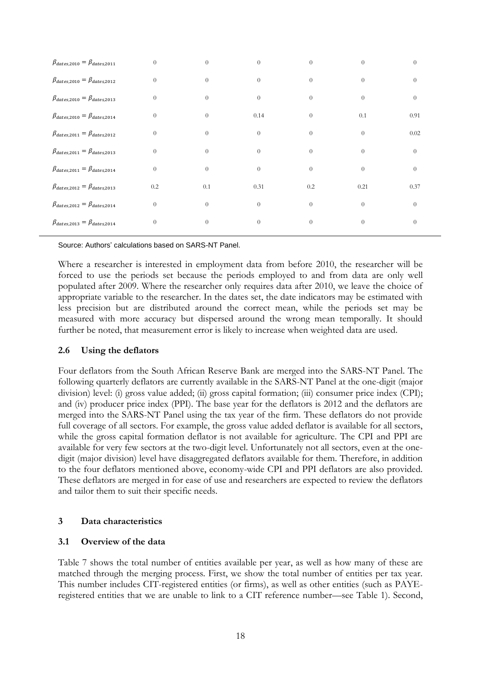| $\beta_{dates,2010} = \beta_{dates,2011}$ | $\theta$       | $\theta$       | $\theta$ | $\theta$ | $\theta$ | $\Omega$ |
|-------------------------------------------|----------------|----------------|----------|----------|----------|----------|
| $\beta_{dates,2010} = \beta_{dates,2012}$ | $\theta$       | $\theta$       | $\theta$ | $\Omega$ | $\Omega$ |          |
| $\beta_{dates,2010} = \beta_{dates,2013}$ | $\Omega$       | $\Omega$       | $\theta$ | $\Omega$ | $\Omega$ | $\Omega$ |
| $\beta_{dates,2010} = \beta_{dates,2014}$ | $\theta$       | $\theta$       | 0.14     | $\theta$ | 0.1      | 0.91     |
| $\beta_{dates,2011} = \beta_{dates,2012}$ | $\overline{0}$ | $\theta$       | $\theta$ | $\theta$ | $\theta$ | 0.02     |
| $\beta_{dates,2011} = \beta_{dates,2013}$ | $\theta$       | $\theta$       | $\theta$ | $\Omega$ | $\Omega$ | $\Omega$ |
| $\beta_{dates,2011} = \beta_{dates,2014}$ | $\overline{0}$ | $\overline{0}$ | $\theta$ | $\Omega$ | $\Omega$ | $\Omega$ |
| $\beta_{dates,2012} = \beta_{dates,2013}$ | 0.2            | 0.1            | 0.31     | 0.2      | 0.21     | 0.37     |
| $\beta_{dates,2012} = \beta_{dates,2014}$ | $\theta$       | $\theta$       | $\theta$ | $\theta$ | $\theta$ | $\Omega$ |
| $\beta_{dates,2013} = \beta_{dates,2014}$ | $\overline{0}$ | $\overline{0}$ | $\theta$ | $\theta$ | $\Omega$ |          |

Source: Authors' calculations based on SARS-NT Panel.

Where a researcher is interested in employment data from before 2010, the researcher will be forced to use the periods set because the periods employed to and from data are only well populated after 2009. Where the researcher only requires data after 2010, we leave the choice of appropriate variable to the researcher. In the dates set, the date indicators may be estimated with less precision but are distributed around the correct mean, while the periods set may be measured with more accuracy but dispersed around the wrong mean temporally. It should further be noted, that measurement error is likely to increase when weighted data are used.

# **2.6 Using the deflators**

Four deflators from the South African Reserve Bank are merged into the SARS-NT Panel. The following quarterly deflators are currently available in the SARS-NT Panel at the one-digit (major division) level: (i) gross value added; (ii) gross capital formation; (iii) consumer price index (CPI); and (iv) producer price index (PPI). The base year for the deflators is 2012 and the deflators are merged into the SARS-NT Panel using the tax year of the firm. These deflators do not provide full coverage of all sectors. For example, the gross value added deflator is available for all sectors, while the gross capital formation deflator is not available for agriculture. The CPI and PPI are available for very few sectors at the two-digit level. Unfortunately not all sectors, even at the onedigit (major division) level have disaggregated deflators available for them. Therefore, in addition to the four deflators mentioned above, economy-wide CPI and PPI deflators are also provided. These deflators are merged in for ease of use and researchers are expected to review the deflators and tailor them to suit their specific needs.

# **3 Data characteristics**

# **3.1 Overview of the data**

Table 7 shows the total number of entities available per year, as well as how many of these are matched through the merging process. First, we show the total number of entities per tax year. This number includes CIT-registered entities (or firms), as well as other entities (such as PAYEregistered entities that we are unable to link to a CIT reference number—see Table 1). Second,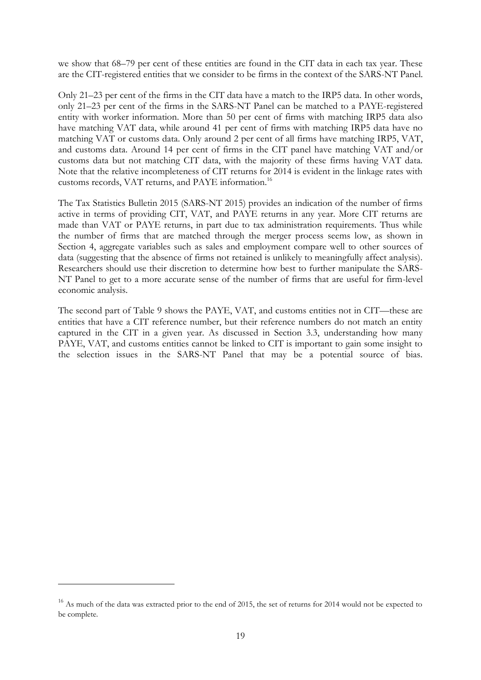we show that 68–79 per cent of these entities are found in the CIT data in each tax year. These are the CIT-registered entities that we consider to be firms in the context of the SARS-NT Panel.

Only 21–23 per cent of the firms in the CIT data have a match to the IRP5 data. In other words, only 21–23 per cent of the firms in the SARS-NT Panel can be matched to a PAYE-registered entity with worker information. More than 50 per cent of firms with matching IRP5 data also have matching VAT data, while around 41 per cent of firms with matching IRP5 data have no matching VAT or customs data. Only around 2 per cent of all firms have matching IRP5, VAT, and customs data. Around 14 per cent of firms in the CIT panel have matching VAT and/or customs data but not matching CIT data, with the majority of these firms having VAT data. Note that the relative incompleteness of CIT returns for 2014 is evident in the linkage rates with customs records, VAT returns, and PAYE information.<sup>16</sup>

The Tax Statistics Bulletin 2015 (SARS-NT 2015) provides an indication of the number of firms active in terms of providing CIT, VAT, and PAYE returns in any year. More CIT returns are made than VAT or PAYE returns, in part due to tax administration requirements. Thus while the number of firms that are matched through the merger process seems low, as shown in Section 4, aggregate variables such as sales and employment compare well to other sources of data (suggesting that the absence of firms not retained is unlikely to meaningfully affect analysis). Researchers should use their discretion to determine how best to further manipulate the SARS-NT Panel to get to a more accurate sense of the number of firms that are useful for firm-level economic analysis.

The second part of Table 9 shows the PAYE, VAT, and customs entities not in CIT—these are entities that have a CIT reference number, but their reference numbers do not match an entity captured in the CIT in a given year. As discussed in Section 3.3, understanding how many PAYE, VAT, and customs entities cannot be linked to CIT is important to gain some insight to the selection issues in the SARS-NT Panel that may be a potential source of bias.

<u>.</u>

<sup>&</sup>lt;sup>16</sup> As much of the data was extracted prior to the end of 2015, the set of returns for 2014 would not be expected to be complete.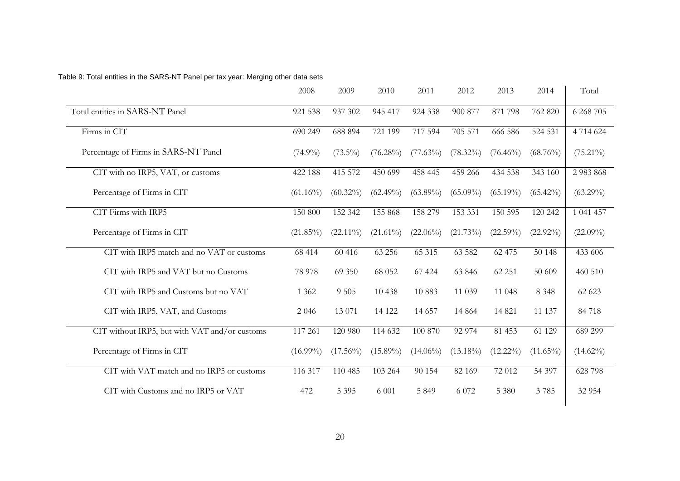# Table 9: Total entities in the SARS-NT Panel per tax year: Merging other data sets

|                                               | 2008        | 2009        | 2010        | 2011        | 2012        | 2013        | 2014        | Total       |
|-----------------------------------------------|-------------|-------------|-------------|-------------|-------------|-------------|-------------|-------------|
| Total entities in SARS-NT Panel               | 921 538     | 937 302     | 945 417     | 924 338     | 900 877     | 871 798     | 762 820     | 6 268 705   |
| Firms in CIT                                  | 690 249     | 688 894     | 721 199     | 717 594     | 705 571     | 666 586     | 524 531     | 4 714 624   |
| Percentage of Firms in SARS-NT Panel          | $(74.9\%)$  | $(73.5\%)$  | $(76.28\%)$ | $(77.63\%)$ | $(78.32\%)$ | $(76.46\%)$ | $(68.76\%)$ | $(75.21\%)$ |
| CIT with no IRP5, VAT, or customs             | 422 188     | 415 572     | 450 699     | 458 445     | 459 266     | 434 538     | 343 160     | 2 983 868   |
| Percentage of Firms in CIT                    | $(61.16\%)$ | $(60.32\%)$ | $(62.49\%)$ | $(63.89\%)$ | $(65.09\%)$ | $(65.19\%)$ | $(65.42\%)$ | $(63.29\%)$ |
| CIT Firms with IRP5                           | 150 800     | 152 342     | 155 868     | 158 279     | 153 331     | 150 595     | 120 242     | 1 041 457   |
| Percentage of Firms in CIT                    | $(21.85\%)$ | $(22.11\%)$ | $(21.61\%)$ | $(22.06\%)$ | $(21.73\%)$ | $(22.59\%)$ | $(22.92\%)$ | $(22.09\%)$ |
| CIT with IRP5 match and no VAT or customs     | 68 414      | 60 416      | 63 256      | 65 315      | 63 582      | 62 475      | 50 148      | 433 606     |
| CIT with IRP5 and VAT but no Customs          | 78 978      | 69 350      | 68 052      | 67 424      | 63 846      | 62 251      | 50 609      | 460 510     |
| CIT with IRP5 and Customs but no VAT          | 1 3 6 2     | 9 5 0 5     | 10 438      | 10883       | 11 039      | 11 048      | 8 3 4 8     | 62 623      |
| CIT with IRP5, VAT, and Customs               | 2 0 4 6     | 13 071      | 14 122      | 14 657      | 14 8 64     | 14 8 21     | 11 137      | 84718       |
| CIT without IRP5, but with VAT and/or customs | 117 261     | 120 980     | 114 632     | 100 870     | 92 974      | 81 453      | 61 129      | 689 299     |
| Percentage of Firms in CIT                    | $(16.99\%)$ | $(17.56\%)$ | $(15.89\%)$ | $(14.06\%)$ | $(13.18\%)$ | $(12.22\%)$ | $(11.65\%)$ | $(14.62\%)$ |
| CIT with VAT match and no IRP5 or customs     | 116 317     | 110 485     | 103 264     | 90 154      | 82 169      | 72 012      | 54 397      | 628 798     |
| CIT with Customs and no IRP5 or VAT           | 472         | 5 3 9 5     | 6 0 0 1     | 5 8 4 9     | 6 0 7 2     | 5 3 8 0     | 3785        | 32 954      |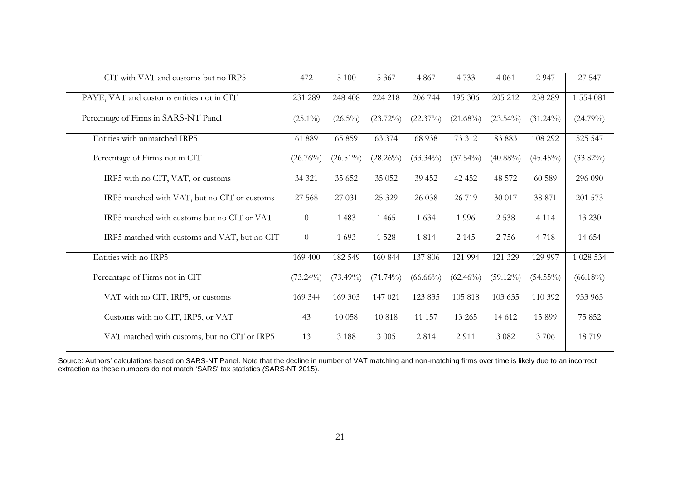| CIT with VAT and customs but no IRP5          | 472         | 5 100       | 5 3 6 7     | 4 8 6 7     | 4733        | 4 0 6 1     | 2 9 4 7     | 27 547      |
|-----------------------------------------------|-------------|-------------|-------------|-------------|-------------|-------------|-------------|-------------|
| PAYE, VAT and customs entities not in CIT     | 231 289     | 248 408     | 224 218     | 206 744     | 195 306     | 205 212     | 238 289     | 1 554 081   |
| Percentage of Firms in SARS-NT Panel          | $(25.1\%)$  | $(26.5\%)$  | $(23.72\%)$ | $(22.37\%)$ | $(21.68\%)$ | $(23.54\%)$ | $(31.24\%)$ | $(24.79\%)$ |
| Entities with unmatched IRP5                  | 61 889      | 65 859      | 63 374      | 68 938      | 73 312      | 83 883      | 108 292     | 525 547     |
| Percentage of Firms not in CIT                | $(26.76\%)$ | $(26.51\%)$ | $(28.26\%)$ | $(33.34\%)$ | $(37.54\%)$ | $(40.88\%)$ | $(45.45\%)$ | $(33.82\%)$ |
| IRP5 with no CIT, VAT, or customs             | 34 321      | 35 652      | 35 052      | 39 452      | 42 452      | 48 572      | 60 589      | 296 090     |
| IRP5 matched with VAT, but no CIT or customs  | 27 5 68     | 27 031      | 25 3 29     | 26 038      | 26 719      | 30 017      | 38 871      | 201 573     |
| IRP5 matched with customs but no CIT or VAT   | $\theta$    | 1 4 8 3     | 1 4 6 5     | 1 6 3 4     | 1996        | 2 5 3 8     | 4 1 1 4     | 13 230      |
| IRP5 matched with customs and VAT, but no CIT | $\theta$    | 1 6 9 3     | 1 5 2 8     | 1 8 1 4     | 2 1 4 5     | 2756        | 4718        | 14 6 5 4    |
| Entities with no IRP5                         | 169 400     | 182 549     | 160 844     | 137 806     | 121 994     | 121 329     | 129 997     | 1 028 534   |
| Percentage of Firms not in CIT                | $(73.24\%)$ | $(73.49\%)$ | $(71.74\%)$ | $(66.66\%)$ | $(62.46\%)$ | $(59.12\%)$ | $(54.55\%)$ | $(66.18\%)$ |
| VAT with no CIT, IRP5, or customs             | 169 344     | 169 303     | 147 021     | 123 835     | 105 818     | 103 635     | 110 392     | 933 963     |
| Customs with no CIT, IRP5, or VAT             | 43          | 10 058      | 10818       | 11 157      | 13 265      | 14 612      | 15 8 9 9    | 75 852      |
| VAT matched with customs, but no CIT or IRP5  | 13          | 3 1 8 8     | 3 0 0 5     | 2 8 1 4     | 2 9 1 1     | 3 0 8 2     | 3706        | 18719       |

Source: Authors' calculations based on SARS-NT Panel. Note that the decline in number of VAT matching and non-matching firms over time is likely due to an incorrect extraction as these numbers do not match 'SARS' tax statistics *(*SARS-NT 2015).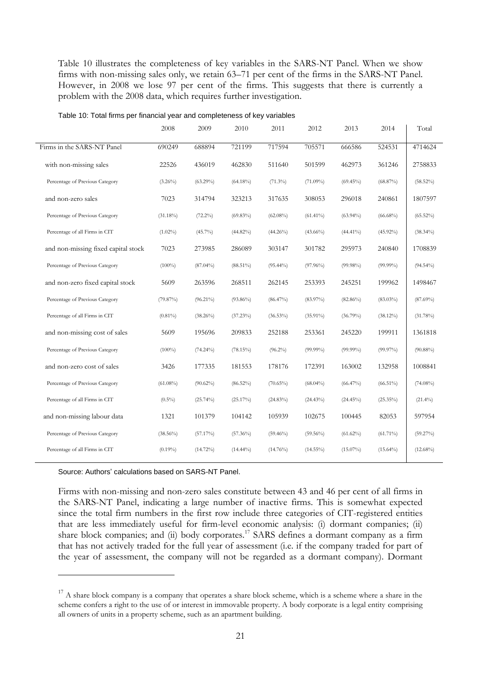Table 10 illustrates the completeness of key variables in the SARS-NT Panel. When we show firms with non-missing sales only, we retain 63–71 per cent of the firms in the SARS-NT Panel. However, in 2008 we lose 97 per cent of the firms. This suggests that there is currently a problem with the 2008 data, which requires further investigation.

|                                     | 2008        | 2009        | 2010        | 2011        | 2012        | 2013        | 2014        | Total       |
|-------------------------------------|-------------|-------------|-------------|-------------|-------------|-------------|-------------|-------------|
| Firms in the SARS-NT Panel          | 690249      | 688894      | 721199      | 717594      | 705571      | 666586      | 524531      | 4714624     |
| with non-missing sales              | 22526       | 436019      | 462830      | 511640      | 501599      | 462973      | 361246      | 2758833     |
| Percentage of Previous Category     | $(3.26\%)$  | $(63.29\%)$ | $(64.18\%)$ | $(71.3\%)$  | $(71.09\%)$ | $(69.45\%)$ | $(68.87\%)$ | $(58.52\%)$ |
| and non-zero sales                  | 7023        | 314794      | 323213      | 317635      | 308053      | 296018      | 240861      | 1807597     |
| Percentage of Previous Category     | $(31.18\%)$ | $(72.2\%)$  | $(69.83\%)$ | $(62.08\%)$ | $(61.41\%)$ | $(63.94\%)$ | $(66.68\%)$ | $(65.52\%)$ |
| Percentage of all Firms in CIT      | $(1.02\%)$  | $(45.7\%)$  | $(44.82\%)$ | $(44.26\%)$ | $(43.66\%)$ | $(44.41\%)$ | $(45.92\%)$ | $(38.34\%)$ |
| and non-missing fixed capital stock | 7023        | 273985      | 286089      | 303147      | 301782      | 295973      | 240840      | 1708839     |
| Percentage of Previous Category     | $(100\%)$   | $(87.04\%)$ | $(88.51\%)$ | $(95.44\%)$ | $(97.96\%)$ | $(99.98\%)$ | $(99.99\%)$ | $(94.54\%)$ |
| and non-zero fixed capital stock    | 5609        | 263596      | 268511      | 262145      | 253393      | 245251      | 199962      | 1498467     |
| Percentage of Previous Category     | $(79.87\%)$ | $(96.21\%)$ | $(93.86\%)$ | $(86.47\%)$ | $(83.97\%)$ | $(82.86\%)$ | $(83.03\%)$ | $(87.69\%)$ |
| Percentage of all Firms in CIT      | $(0.81\%)$  | $(38.26\%)$ | $(37.23\%)$ | $(36.53\%)$ | $(35.91\%)$ | $(36.79\%)$ | $(38.12\%)$ | $(31.78\%)$ |
| and non-missing cost of sales       | 5609        | 195696      | 209833      | 252188      | 253361      | 245220      | 199911      | 1361818     |
| Percentage of Previous Category     | $(100\%)$   | $(74.24\%)$ | (78.15%)    | $(96.2\%)$  | $(99.99\%)$ | $(99.99\%)$ | $(99.97\%)$ | $(90.88\%)$ |
| and non-zero cost of sales          | 3426        | 177335      | 181553      | 178176      | 172391      | 163002      | 132958      | 1008841     |
| Percentage of Previous Category     | $(61.08\%)$ | $(90.62\%)$ | $(86.52\%)$ | $(70.65\%)$ | $(68.04\%)$ | $(66.47\%)$ | $(66.51\%)$ | $(74.08\%)$ |
| Percentage of all Firms in CIT      | $(0.5\%)$   | $(25.74\%)$ | $(25.17\%)$ | $(24.83\%)$ | $(24.43\%)$ | $(24.45\%)$ | $(25.35\%)$ | $(21.4\%)$  |
| and non-missing labour data         | 1321        | 101379      | 104142      | 105939      | 102675      | 100445      | 82053       | 597954      |
| Percentage of Previous Category     | $(38.56\%)$ | (57.17%)    | $(57.36\%)$ | $(59.46\%)$ | $(59.56\%)$ | $(61.62\%)$ | $(61.71\%)$ | $(59.27\%)$ |
| Percentage of all Firms in CIT      | $(0.19\%)$  | $(14.72\%)$ | $(14.44\%)$ | $(14.76\%)$ | $(14.55\%)$ | $(15.07\%)$ | $(15.64\%)$ | $(12.68\%)$ |

| Table 10: Total firms per financial year and completeness of key variables |  |  |
|----------------------------------------------------------------------------|--|--|
|                                                                            |  |  |

Source: Authors' calculations based on SARS-NT Panel.

-

Firms with non-missing and non-zero sales constitute between 43 and 46 per cent of all firms in the SARS-NT Panel, indicating a large number of inactive firms. This is somewhat expected since the total firm numbers in the first row include three categories of CIT-registered entities that are less immediately useful for firm-level economic analysis: (i) dormant companies; (ii) share block companies; and (ii) body corporates.<sup>17</sup> SARS defines a dormant company as a firm that has not actively traded for the full year of assessment (i.e. if the company traded for part of the year of assessment, the company will not be regarded as a dormant company). Dormant

 $17$  A share block company is a company that operates a share block scheme, which is a scheme where a share in the scheme confers a right to the use of or interest in immovable property. A body corporate is a legal entity comprising all owners of units in a property scheme, such as an apartment building.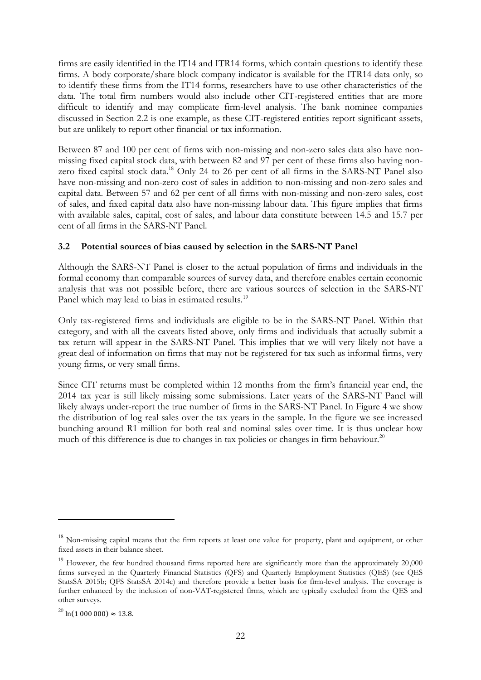firms are easily identified in the IT14 and ITR14 forms, which contain questions to identify these firms. A body corporate/share block company indicator is available for the ITR14 data only, so to identify these firms from the IT14 forms, researchers have to use other characteristics of the data. The total firm numbers would also include other CIT-registered entities that are more difficult to identify and may complicate firm-level analysis. The bank nominee companies discussed in Section 2.2 is one example, as these CIT-registered entities report significant assets, but are unlikely to report other financial or tax information.

Between 87 and 100 per cent of firms with non-missing and non-zero sales data also have nonmissing fixed capital stock data, with between 82 and 97 per cent of these firms also having nonzero fixed capital stock data.<sup>18</sup> Only 24 to 26 per cent of all firms in the SARS-NT Panel also have non-missing and non-zero cost of sales in addition to non-missing and non-zero sales and capital data. Between 57 and 62 per cent of all firms with non-missing and non-zero sales, cost of sales, and fixed capital data also have non-missing labour data. This figure implies that firms with available sales, capital, cost of sales, and labour data constitute between 14.5 and 15.7 per cent of all firms in the SARS-NT Panel.

# **3.2 Potential sources of bias caused by selection in the SARS-NT Panel**

Although the SARS-NT Panel is closer to the actual population of firms and individuals in the formal economy than comparable sources of survey data, and therefore enables certain economic analysis that was not possible before, there are various sources of selection in the SARS-NT Panel which may lead to bias in estimated results.<sup>19</sup>

Only tax-registered firms and individuals are eligible to be in the SARS-NT Panel. Within that category, and with all the caveats listed above, only firms and individuals that actually submit a tax return will appear in the SARS-NT Panel. This implies that we will very likely not have a great deal of information on firms that may not be registered for tax such as informal firms, very young firms, or very small firms.

Since CIT returns must be completed within 12 months from the firm's financial year end, the 2014 tax year is still likely missing some submissions. Later years of the SARS-NT Panel will likely always under-report the true number of firms in the SARS-NT Panel. In Figure 4 we show the distribution of log real sales over the tax years in the sample. In the figure we see increased bunching around R1 million for both real and nominal sales over time. It is thus unclear how much of this difference is due to changes in tax policies or changes in firm behaviour.<sup>20</sup>

<u>.</u>

<sup>&</sup>lt;sup>18</sup> Non-missing capital means that the firm reports at least one value for property, plant and equipment, or other fixed assets in their balance sheet.

<sup>&</sup>lt;sup>19</sup> However, the few hundred thousand firms reported here are significantly more than the approximately 20,000 firms surveyed in the Quarterly Financial Statistics (QFS) and Quarterly Employment Statistics (QES) (see QES StatsSA 2015b; QFS StatsSA 2014c) and therefore provide a better basis for firm-level analysis. The coverage is further enhanced by the inclusion of non-VAT-registered firms, which are typically excluded from the QES and other surveys.

<sup>&</sup>lt;sup>20</sup> ln(1 000 000)  $\approx$  13.8.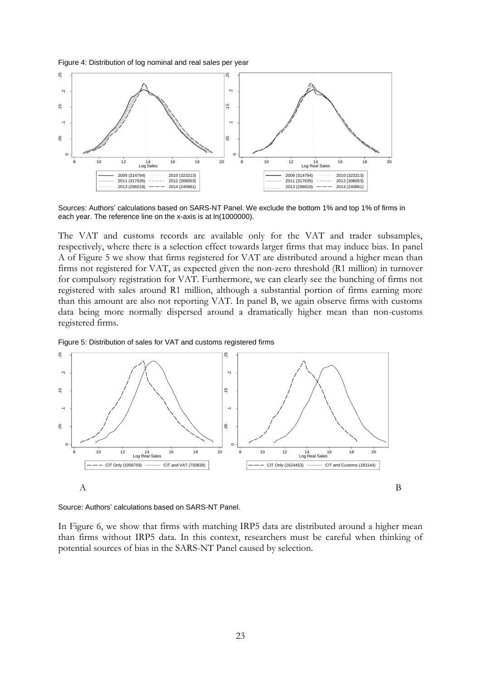Figure 4: Distribution of log nominal and real sales per year



Sources: Authors' calculations based on SARS-NT Panel. We exclude the bottom 1% and top 1% of firms in each year. The reference line on the x-axis is at ln(1000000).

The VAT and customs records are available only for the VAT and trader subsamples, respectively, where there is a selection effect towards larger firms that may induce bias. In panel A of Figure 5 we show that firms registered for VAT are distributed around a higher mean than firms not registered for VAT, as expected given the non-zero threshold (R1 million) in turnover for compulsory registration for VAT. Furthermore, we can clearly see the bunching of firms not registered with sales around R1 million, although a substantial portion of firms earning more than this amount are also not reporting VAT. In panel B, we again observe firms with customs data being more normally dispersed around a dramatically higher mean than non-customs registered firms.





Source: Authors' calculations based on SARS-NT Panel.

In Figure 6, we show that firms with matching IRP5 data are distributed around a higher mean than firms without IRP5 data. In this context, researchers must be careful when thinking of potential sources of bias in the SARS-NT Panel caused by selection.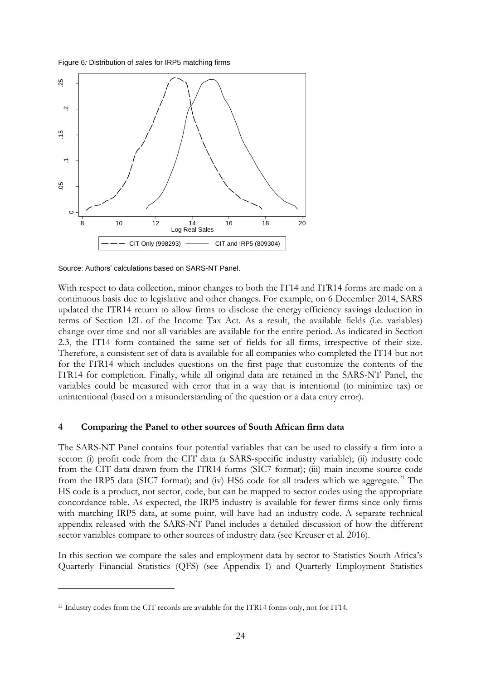



Source: Authors' calculations based on SARS-NT Panel.

With respect to data collection, minor changes to both the IT14 and ITR14 forms are made on a continuous basis due to legislative and other changes. For example, on 6 December 2014, SARS updated the ITR14 return to allow firms to disclose the energy efficiency savings deduction in terms of Section 12L of the Income Tax Act. As a result, the available fields (i.e. variables) change over time and not all variables are available for the entire period. As indicated in Section 2.3, the IT14 form contained the same set of fields for all firms, irrespective of their size. Therefore, a consistent set of data is available for all companies who completed the IT14 but not for the ITR14 which includes questions on the first page that customize the contents of the ITR14 for completion. Finally, while all original data are retained in the SARS-NT Panel, the variables could be measured with error that in a way that is intentional (to minimize tax) or unintentional (based on a misunderstanding of the question or a data entry error).

#### **4 Comparing the Panel to other sources of South African firm data**

The SARS-NT Panel contains four potential variables that can be used to classify a firm into a sector: (i) profit code from the CIT data (a SARS-specific industry variable); (ii) industry code from the CIT data drawn from the ITR14 forms (SIC7 format); (iii) main income source code from the IRP5 data (SIC7 format); and (iv) HS6 code for all traders which we aggregate.<sup>21</sup> The HS code is a product, not sector, code, but can be mapped to sector codes using the appropriate concordance table. As expected, the IRP5 industry is available for fewer firms since only firms with matching IRP5 data, at some point, will have had an industry code. A separate technical appendix released with the SARS-NT Panel includes a detailed discussion of how the different sector variables compare to other sources of industry data (see Kreuser et al. 2016).

In this section we compare the sales and employment data by sector to Statistics South Africa's Quarterly Financial Statistics (QFS) (see Appendix I) and Quarterly Employment Statistics

-

<sup>21</sup> Industry codes from the CIT records are available for the ITR14 forms only, not for IT14.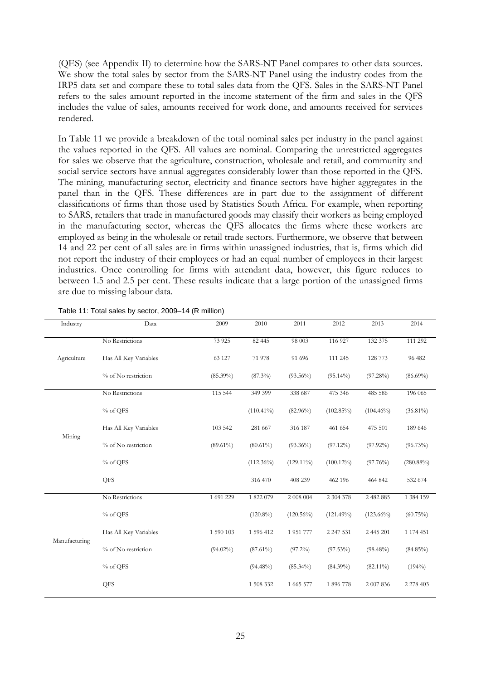(QES) (see Appendix II) to determine how the SARS-NT Panel compares to other data sources. We show the total sales by sector from the SARS-NT Panel using the industry codes from the IRP5 data set and compare these to total sales data from the QFS. Sales in the SARS-NT Panel refers to the sales amount reported in the income statement of the firm and sales in the QFS includes the value of sales, amounts received for work done, and amounts received for services rendered.

In Table 11 we provide a breakdown of the total nominal sales per industry in the panel against the values reported in the QFS. All values are nominal. Comparing the unrestricted aggregates for sales we observe that the agriculture, construction, wholesale and retail, and community and social service sectors have annual aggregates considerably lower than those reported in the QFS. The mining, manufacturing sector, electricity and finance sectors have higher aggregates in the panel than in the QFS. These differences are in part due to the assignment of different classifications of firms than those used by Statistics South Africa. For example, when reporting to SARS, retailers that trade in manufactured goods may classify their workers as being employed in the manufacturing sector, whereas the QFS allocates the firms where these workers are employed as being in the wholesale or retail trade sectors. Furthermore, we observe that between 14 and 22 per cent of all sales are in firms within unassigned industries, that is, firms which did not report the industry of their employees or had an equal number of employees in their largest industries. Once controlling for firms with attendant data, however, this figure reduces to between 1.5 and 2.5 per cent. These results indicate that a large portion of the unassigned firms are due to missing labour data.

| Industry      | Data                  | 2009        | 2010                                                                                                                                                                                                                                                                                                                                                                                   | 2011        | 2012         | 2013         | 2014         |
|---------------|-----------------------|-------------|----------------------------------------------------------------------------------------------------------------------------------------------------------------------------------------------------------------------------------------------------------------------------------------------------------------------------------------------------------------------------------------|-------------|--------------|--------------|--------------|
|               | No Restrictions       | 73 9 25     | 82 445                                                                                                                                                                                                                                                                                                                                                                                 | 98 003      | 116 927      | 132 375      | 111 292      |
| Agriculture   | Has All Key Variables | 63 127      | 71 978                                                                                                                                                                                                                                                                                                                                                                                 | 91 696      | 111 245      | 128 773      | 96 482       |
|               | % of No restriction   | $(85.39\%)$ | $(87.3\%)$<br>$(93.56\%)$<br>115 544<br>349 399<br>338 687<br>$(110.41\%)$<br>$(82.96\%)$<br>103 542<br>281 667<br>316 187<br>$(80.61\%)$<br>$(93.36\%)$<br>$(112.36\%)$<br>$(129.11\%)$<br>316 470<br>408 239<br>1 822 079<br>2 008 004<br>$(120.8\%)$<br>$(120.56\%)$<br>1 596 412<br>1 951 777<br>$(87.61\%)$<br>$(97.2\%)$<br>$(94.48\%)$<br>$(85.34\%)$<br>1 665 577<br>1 508 332 | $(95.14\%)$ | $(97.28\%)$  | $(86.69\%)$  |              |
|               | No Restrictions       |             |                                                                                                                                                                                                                                                                                                                                                                                        |             | 475 346      | 485 586      | 196 065      |
| Mining        | % of QFS              |             |                                                                                                                                                                                                                                                                                                                                                                                        |             | $(102.85\%)$ | $(104.46\%)$ | $(36.81\%)$  |
|               | Has All Key Variables |             |                                                                                                                                                                                                                                                                                                                                                                                        |             | 461 654      | 475 501      | 189 646      |
|               | % of No restriction   | $(89.61\%)$ |                                                                                                                                                                                                                                                                                                                                                                                        |             | $(97.12\%)$  | $(97.92\%)$  | $(96.73\%)$  |
|               | % of QFS              |             |                                                                                                                                                                                                                                                                                                                                                                                        |             | $(100.12\%)$ | $(97.76\%)$  | $(280.88\%)$ |
|               | QFS                   |             |                                                                                                                                                                                                                                                                                                                                                                                        |             | 462 196      | 464 842      | 532 674      |
|               | No Restrictions       | 1 691 229   |                                                                                                                                                                                                                                                                                                                                                                                        |             | 2 304 378    | 2 482 885    | 1 384 159    |
|               | % of QFS              |             |                                                                                                                                                                                                                                                                                                                                                                                        |             | $(121.49\%)$ | $(123.66\%)$ | $(60.75\%)$  |
| Manufacturing | Has All Key Variables | 1 590 103   |                                                                                                                                                                                                                                                                                                                                                                                        |             | 2 247 531    | 2 445 201    | 1 174 451    |
|               | % of No restriction   | $(94.02\%)$ |                                                                                                                                                                                                                                                                                                                                                                                        |             | $(97.53\%)$  | $(98.48\%)$  | $(84.85\%)$  |
|               | % of QFS              |             |                                                                                                                                                                                                                                                                                                                                                                                        |             | $(84.39\%)$  | $(82.11\%)$  | $(194\%)$    |
|               | QFS                   |             |                                                                                                                                                                                                                                                                                                                                                                                        |             | 1 896 778    | 2 007 836    | 2 278 403    |
|               |                       |             |                                                                                                                                                                                                                                                                                                                                                                                        |             |              |              |              |

Table 11: Total sales by sector, 2009–14 (R million)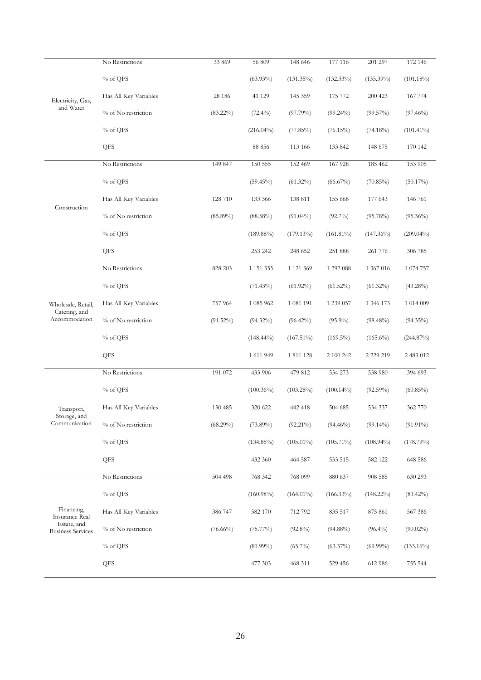|                                                      | No Restrictions       | 33 869      | 56 809                                                                                                                                                                                                                                                                                                                                                                                                                                                                                                                         | 148 646      | 177 116      | 201 297      | 172 146      |
|------------------------------------------------------|-----------------------|-------------|--------------------------------------------------------------------------------------------------------------------------------------------------------------------------------------------------------------------------------------------------------------------------------------------------------------------------------------------------------------------------------------------------------------------------------------------------------------------------------------------------------------------------------|--------------|--------------|--------------|--------------|
|                                                      | % of QFS              |             | $(63.93\%)$                                                                                                                                                                                                                                                                                                                                                                                                                                                                                                                    | $(131.35\%)$ | $(132.33\%)$ | $(135.39\%)$ | $(101.18\%)$ |
| Electricity, Gas,                                    | Has All Key Variables | 28 18 6     | 41 129                                                                                                                                                                                                                                                                                                                                                                                                                                                                                                                         | 145 359      | 175 772      | 200 423      | 167 774      |
| and Water                                            | % of No restriction   | $(83.22\%)$ | $(72.4\%)$                                                                                                                                                                                                                                                                                                                                                                                                                                                                                                                     | $(97.79\%)$  | $(99.24\%)$  | $(99.57\%)$  | $(97.46\%)$  |
|                                                      | % of QFS              |             | $(216.04\%)$                                                                                                                                                                                                                                                                                                                                                                                                                                                                                                                   | $(77.85\%)$  | $(76.15\%)$  | $(74.18\%)$  | $(101.41\%)$ |
|                                                      | QFS                   |             | 88 856                                                                                                                                                                                                                                                                                                                                                                                                                                                                                                                         | 113 166      | 133 842      | 148 675      | 170 142      |
|                                                      | No Restrictions       | 149 847     | 150 555                                                                                                                                                                                                                                                                                                                                                                                                                                                                                                                        | 152 469      | 167 928      | 185 462      | 153 905      |
| Construction                                         | % of QFS              |             | $(59.45\%)$                                                                                                                                                                                                                                                                                                                                                                                                                                                                                                                    | $(61.32\%)$  | $(66.67\%)$  | $(70.85\%)$  | $(50.17\%)$  |
|                                                      | Has All Key Variables | 128 710     | 133 366                                                                                                                                                                                                                                                                                                                                                                                                                                                                                                                        | 138 811      | 155 668      | 177 643      | 146 761      |
|                                                      | % of No restriction   | $(85.89\%)$ | $(88.58\%)$                                                                                                                                                                                                                                                                                                                                                                                                                                                                                                                    | $(91.04\%)$  | $(92.7\%)$   | $(95.78\%)$  | $(95.36\%)$  |
|                                                      | % of QFS              |             | $(189.88\%)$                                                                                                                                                                                                                                                                                                                                                                                                                                                                                                                   | $(179.13\%)$ | $(161.81\%)$ | $(147.36\%)$ | $(209.04\%)$ |
|                                                      | QFS                   |             | 253 242                                                                                                                                                                                                                                                                                                                                                                                                                                                                                                                        | 248 652      | 251 888      | 261 776      | 306 785      |
| Wholesale, Retail,<br>Catering, and<br>Accommodation | No Restrictions       | 828 203     | 1 1 5 1 3 5 5                                                                                                                                                                                                                                                                                                                                                                                                                                                                                                                  | 1 121 369    | 1 292 088    | 1 367 016    | 1 074 757    |
|                                                      | % of QFS              |             | $(71.43\%)$                                                                                                                                                                                                                                                                                                                                                                                                                                                                                                                    | $(61.92\%)$  | $(61.52\%)$  | $(61.32\%)$  | $(43.28\%)$  |
|                                                      | Has All Key Variables | 757 964     | 1 085 962                                                                                                                                                                                                                                                                                                                                                                                                                                                                                                                      | 1 081 191    | 1 239 057    | 1 346 173    | 1 014 009    |
|                                                      | % of No restriction   | $(91.52\%)$ | $(94.32\%)$                                                                                                                                                                                                                                                                                                                                                                                                                                                                                                                    | $(96.42\%)$  | $(95.9\%)$   | $(98.48\%)$  | $(94.35\%)$  |
|                                                      | % of QFS              |             | $(148.44\%)$                                                                                                                                                                                                                                                                                                                                                                                                                                                                                                                   | $(167.51\%)$ | $(169.5\%)$  | $(165.6\%)$  | (244.87%)    |
|                                                      | QFS                   |             | 1 611 949<br>1 811 128<br>2 100 242<br>433 906<br>479 812<br>534 273<br>$(100.36\%)$<br>$(103.28\%)$<br>$(100.14\%)$<br>320 622<br>442 418<br>504 685<br>$(73.89\%)$<br>$(92.21\%)$<br>$(94.46\%)$<br>$(134.85\%)$<br>$(105.01\%)$<br>$(105.71\%)$<br>432 360<br>464 587<br>533 515<br>768 099<br>768 342<br>880 637<br>$(160.98\%)$<br>$(164.01\%)$<br>$(166.33\%)$<br>582 170<br>712 792<br>835 517<br>$(75.77\%)$<br>$(92.8\%)$<br>$(94.88\%)$<br>$(81.99\%)$<br>$(65.7\%)$<br>$(63.37\%)$<br>477 303<br>468 311<br>529 456 | 2 2 2 2 1 9  | 2 483 012    |              |              |
|                                                      | No Restrictions       | 191 072     |                                                                                                                                                                                                                                                                                                                                                                                                                                                                                                                                |              |              | 538 980      | 394 693      |
|                                                      | % of QFS              |             |                                                                                                                                                                                                                                                                                                                                                                                                                                                                                                                                |              |              | $(92.59\%)$  | $(60.85\%)$  |
| Transport,                                           | Has All Key Variables | 130 485     |                                                                                                                                                                                                                                                                                                                                                                                                                                                                                                                                |              |              | 534 337      | 362 770      |
| Storage, and<br>Communication                        | % of No restriction   | $(68.29\%)$ |                                                                                                                                                                                                                                                                                                                                                                                                                                                                                                                                |              |              | $(99.14\%)$  | $(91.91\%)$  |
|                                                      | % of QFS              |             |                                                                                                                                                                                                                                                                                                                                                                                                                                                                                                                                |              |              | $(108.94\%)$ | (178.79%)    |
|                                                      | QFS                   |             |                                                                                                                                                                                                                                                                                                                                                                                                                                                                                                                                |              |              | 582 122      | 648 586      |
|                                                      | No Restrictions       | 504 498     |                                                                                                                                                                                                                                                                                                                                                                                                                                                                                                                                |              |              | 908 585      | 630 293      |
|                                                      | % of QFS              |             |                                                                                                                                                                                                                                                                                                                                                                                                                                                                                                                                |              |              | $(148.22\%)$ | $(83.42\%)$  |
| Financing,<br>Insurance Real                         | Has All Key Variables | 386 747     |                                                                                                                                                                                                                                                                                                                                                                                                                                                                                                                                |              |              | 875 861      | 567 386      |
| Estate, and<br><b>Business Services</b>              | % of No restriction   | $(76.66\%)$ |                                                                                                                                                                                                                                                                                                                                                                                                                                                                                                                                |              |              | $(96.4\%)$   | $(90.02\%)$  |
|                                                      | % of QFS              |             |                                                                                                                                                                                                                                                                                                                                                                                                                                                                                                                                |              |              | $(69.99\%)$  | $(133.16\%)$ |
|                                                      | QFS                   |             |                                                                                                                                                                                                                                                                                                                                                                                                                                                                                                                                |              |              | 612 986      | 755 544      |
|                                                      |                       |             |                                                                                                                                                                                                                                                                                                                                                                                                                                                                                                                                |              |              |              |              |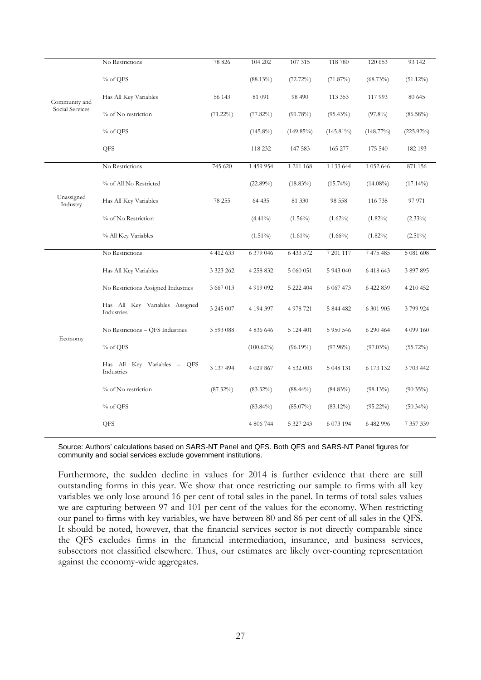|                                                                                                                                                                                                                                                                                                                                                                                                                                                                                                                                                                                                                                                                                                                                                                                                                                                                                                                                                                                                                                                                                                                                                                                                                                                                                              | No Restrictions | 104 202     |                                                                                                                                                                                                                                                                                                                                                                                                                                                                                                                                                                                                                                                                  | 118 780      | 120 653      | 93 142       |
|----------------------------------------------------------------------------------------------------------------------------------------------------------------------------------------------------------------------------------------------------------------------------------------------------------------------------------------------------------------------------------------------------------------------------------------------------------------------------------------------------------------------------------------------------------------------------------------------------------------------------------------------------------------------------------------------------------------------------------------------------------------------------------------------------------------------------------------------------------------------------------------------------------------------------------------------------------------------------------------------------------------------------------------------------------------------------------------------------------------------------------------------------------------------------------------------------------------------------------------------------------------------------------------------|-----------------|-------------|------------------------------------------------------------------------------------------------------------------------------------------------------------------------------------------------------------------------------------------------------------------------------------------------------------------------------------------------------------------------------------------------------------------------------------------------------------------------------------------------------------------------------------------------------------------------------------------------------------------------------------------------------------------|--------------|--------------|--------------|
| 78 826<br>107 315<br>% of QFS<br>$(88.13\%)$<br>$(72.72\%)$<br>81 091<br>Has All Key Variables<br>56 143<br>98 490<br>Community and<br>Social Services<br>% of No restriction<br>$(71.22\%)$<br>$(77.82\%)$<br>$(91.78\%)$<br>% of QFS<br>$(145.8\%)$<br>$(149.85\%)$<br>QFS<br>147 583<br>118 232<br>745 620<br>1 459 954<br>1 211 168<br>No Restrictions<br>% of All No Restricted<br>$(22.89\%)$<br>$(18.83\%)$<br>Unassigned<br>78 255<br>Has All Key Variables<br>64 435<br>81 330<br>Industry<br>% of No Restriction<br>$(4.41\%)$<br>$(1.56\%)$<br>% All Key Variables<br>$(1.51\%)$<br>$(1.61\%)$<br>4 4 1 2 6 3 3<br>6 379 046<br>6 433 572<br>No Restrictions<br>3 3 2 3 2 6 2<br>4 258 832<br>5 060 051<br>Has All Key Variables<br>3 667 013<br>No Restrictions Assigned Industries<br>4 9 1 9 0 9 2<br>5 222 404<br>Has All Key Variables Assigned<br>3 245 007<br>4 194 397<br>4 9 78 7 21<br>Industries<br>No Restrictions - QFS Industries<br>3 593 088<br>4 836 646<br>5 124 401<br>Economy<br>% of QFS<br>$(100.62\%)$<br>$(96.19\%)$<br>Has All Key Variables - QFS<br>3 137 494<br>4 0 29 8 67<br>4 532 003<br>Industries<br>% of No restriction<br>$(87.32\%)$<br>$(83.32\%)$<br>$(88.44\%)$<br>% of QFS<br>$(83.84\%)$<br>$(85.07\%)$<br>QFS<br>4 806 744<br>5 327 243 | $(71.87\%)$     | $(68.73\%)$ | $(51.12\%)$                                                                                                                                                                                                                                                                                                                                                                                                                                                                                                                                                                                                                                                      |              |              |              |
|                                                                                                                                                                                                                                                                                                                                                                                                                                                                                                                                                                                                                                                                                                                                                                                                                                                                                                                                                                                                                                                                                                                                                                                                                                                                                              |                 |             |                                                                                                                                                                                                                                                                                                                                                                                                                                                                                                                                                                                                                                                                  | 113 353      | 117 993      | 80 645       |
|                                                                                                                                                                                                                                                                                                                                                                                                                                                                                                                                                                                                                                                                                                                                                                                                                                                                                                                                                                                                                                                                                                                                                                                                                                                                                              |                 |             |                                                                                                                                                                                                                                                                                                                                                                                                                                                                                                                                                                                                                                                                  | $(95.43\%)$  | $(97.8\%)$   | $(86.58\%)$  |
|                                                                                                                                                                                                                                                                                                                                                                                                                                                                                                                                                                                                                                                                                                                                                                                                                                                                                                                                                                                                                                                                                                                                                                                                                                                                                              |                 |             |                                                                                                                                                                                                                                                                                                                                                                                                                                                                                                                                                                                                                                                                  | $(145.81\%)$ | $(148.77\%)$ | $(225.92\%)$ |
|                                                                                                                                                                                                                                                                                                                                                                                                                                                                                                                                                                                                                                                                                                                                                                                                                                                                                                                                                                                                                                                                                                                                                                                                                                                                                              |                 |             | 165 277<br>175 540<br>182 193<br>1 133 644<br>1 052 646<br>871 156<br>$(15.74\%)$<br>$(14.08\%)$<br>$(17.14\%)$<br>98 558<br>116 738<br>97 971<br>$(1.62\%)$<br>$(1.82\%)$<br>$(2.33\%)$<br>$(1.66\%)$<br>$(1.82\%)$<br>$(2.51\%)$<br>7 201 117<br>7 475 485<br>5 081 608<br>5 943 040<br>6 418 643<br>3 897 895<br>6 0 6 7 4 7 3<br>6 422 839<br>4 210 452<br>5 844 482<br>6 301 905<br>3799924<br>5 9 5 0 5 4 6<br>6 290 464<br>4 099 160<br>$(97.98\%)$<br>$(97.03\%)$<br>$(55.72\%)$<br>5 048 131<br>6 173 132<br>3 703 442<br>$(98.13\%)$<br>$(90.35\%)$<br>$(84.83\%)$<br>$(95.22\%)$<br>$(83.12\%)$<br>$(50.34\%)$<br>6 073 194<br>6 482 996<br>7 357 339 |              |              |              |
|                                                                                                                                                                                                                                                                                                                                                                                                                                                                                                                                                                                                                                                                                                                                                                                                                                                                                                                                                                                                                                                                                                                                                                                                                                                                                              |                 |             |                                                                                                                                                                                                                                                                                                                                                                                                                                                                                                                                                                                                                                                                  |              |              |              |
|                                                                                                                                                                                                                                                                                                                                                                                                                                                                                                                                                                                                                                                                                                                                                                                                                                                                                                                                                                                                                                                                                                                                                                                                                                                                                              |                 |             |                                                                                                                                                                                                                                                                                                                                                                                                                                                                                                                                                                                                                                                                  |              |              |              |
|                                                                                                                                                                                                                                                                                                                                                                                                                                                                                                                                                                                                                                                                                                                                                                                                                                                                                                                                                                                                                                                                                                                                                                                                                                                                                              |                 |             |                                                                                                                                                                                                                                                                                                                                                                                                                                                                                                                                                                                                                                                                  |              |              |              |
|                                                                                                                                                                                                                                                                                                                                                                                                                                                                                                                                                                                                                                                                                                                                                                                                                                                                                                                                                                                                                                                                                                                                                                                                                                                                                              |                 |             |                                                                                                                                                                                                                                                                                                                                                                                                                                                                                                                                                                                                                                                                  |              |              |              |
|                                                                                                                                                                                                                                                                                                                                                                                                                                                                                                                                                                                                                                                                                                                                                                                                                                                                                                                                                                                                                                                                                                                                                                                                                                                                                              |                 |             |                                                                                                                                                                                                                                                                                                                                                                                                                                                                                                                                                                                                                                                                  |              |              |              |
|                                                                                                                                                                                                                                                                                                                                                                                                                                                                                                                                                                                                                                                                                                                                                                                                                                                                                                                                                                                                                                                                                                                                                                                                                                                                                              |                 |             |                                                                                                                                                                                                                                                                                                                                                                                                                                                                                                                                                                                                                                                                  |              |              |              |
|                                                                                                                                                                                                                                                                                                                                                                                                                                                                                                                                                                                                                                                                                                                                                                                                                                                                                                                                                                                                                                                                                                                                                                                                                                                                                              |                 |             |                                                                                                                                                                                                                                                                                                                                                                                                                                                                                                                                                                                                                                                                  |              |              |              |
|                                                                                                                                                                                                                                                                                                                                                                                                                                                                                                                                                                                                                                                                                                                                                                                                                                                                                                                                                                                                                                                                                                                                                                                                                                                                                              |                 |             |                                                                                                                                                                                                                                                                                                                                                                                                                                                                                                                                                                                                                                                                  |              |              |              |
|                                                                                                                                                                                                                                                                                                                                                                                                                                                                                                                                                                                                                                                                                                                                                                                                                                                                                                                                                                                                                                                                                                                                                                                                                                                                                              |                 |             |                                                                                                                                                                                                                                                                                                                                                                                                                                                                                                                                                                                                                                                                  |              |              |              |
|                                                                                                                                                                                                                                                                                                                                                                                                                                                                                                                                                                                                                                                                                                                                                                                                                                                                                                                                                                                                                                                                                                                                                                                                                                                                                              |                 |             |                                                                                                                                                                                                                                                                                                                                                                                                                                                                                                                                                                                                                                                                  |              |              |              |
|                                                                                                                                                                                                                                                                                                                                                                                                                                                                                                                                                                                                                                                                                                                                                                                                                                                                                                                                                                                                                                                                                                                                                                                                                                                                                              |                 |             |                                                                                                                                                                                                                                                                                                                                                                                                                                                                                                                                                                                                                                                                  |              |              |              |
|                                                                                                                                                                                                                                                                                                                                                                                                                                                                                                                                                                                                                                                                                                                                                                                                                                                                                                                                                                                                                                                                                                                                                                                                                                                                                              |                 |             |                                                                                                                                                                                                                                                                                                                                                                                                                                                                                                                                                                                                                                                                  |              |              |              |
|                                                                                                                                                                                                                                                                                                                                                                                                                                                                                                                                                                                                                                                                                                                                                                                                                                                                                                                                                                                                                                                                                                                                                                                                                                                                                              |                 |             |                                                                                                                                                                                                                                                                                                                                                                                                                                                                                                                                                                                                                                                                  |              |              |              |
|                                                                                                                                                                                                                                                                                                                                                                                                                                                                                                                                                                                                                                                                                                                                                                                                                                                                                                                                                                                                                                                                                                                                                                                                                                                                                              |                 |             |                                                                                                                                                                                                                                                                                                                                                                                                                                                                                                                                                                                                                                                                  |              |              |              |
|                                                                                                                                                                                                                                                                                                                                                                                                                                                                                                                                                                                                                                                                                                                                                                                                                                                                                                                                                                                                                                                                                                                                                                                                                                                                                              |                 |             |                                                                                                                                                                                                                                                                                                                                                                                                                                                                                                                                                                                                                                                                  |              |              |              |

Source: Authors' calculations based on SARS-NT Panel and QFS. Both QFS and SARS-NT Panel figures for community and social services exclude government institutions.

Furthermore, the sudden decline in values for 2014 is further evidence that there are still outstanding forms in this year. We show that once restricting our sample to firms with all key variables we only lose around 16 per cent of total sales in the panel. In terms of total sales values we are capturing between 97 and 101 per cent of the values for the economy. When restricting our panel to firms with key variables, we have between 80 and 86 per cent of all sales in the QFS. It should be noted, however, that the financial services sector is not directly comparable since the QFS excludes firms in the financial intermediation, insurance, and business services, subsectors not classified elsewhere. Thus, our estimates are likely over-counting representation against the economy-wide aggregates.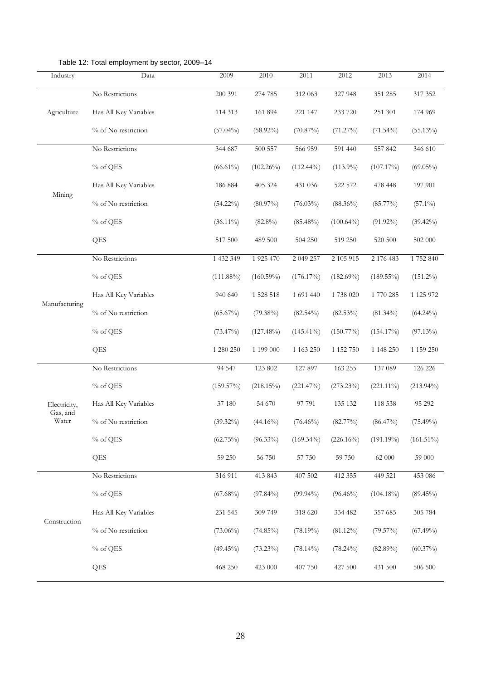| Industry                                                                                    | Data                  | 2009         | 2010         | 2011          | 2012          | 2013         | 2014         |
|---------------------------------------------------------------------------------------------|-----------------------|--------------|--------------|---------------|---------------|--------------|--------------|
|                                                                                             | No Restrictions       | 200 391      | 274 785      | 312 063       | 327 948       | 351 285      | 317 352      |
| Agriculture<br>Mining<br>Manufacturing<br>Electricity,<br>Gas, and<br>Water<br>Construction | Has All Key Variables | 114 313      | 161 894      | 221 147       | 233 720       | 251 301      | 174 969      |
|                                                                                             | % of No restriction   | $(57.04\%)$  | $(58.92\%)$  | $(70.87\%)$   | $(71.27\%)$   | $(71.54\%)$  | $(55.13\%)$  |
|                                                                                             | No Restrictions       | 344 687      | 500 557      | 566 959       | 591 440       | 557842       | 346 610      |
|                                                                                             | % of QES              | $(66.61\%)$  | $(102.26\%)$ | $(112.44\%)$  | $(113.9\%)$   | (107.17%)    | $(69.05\%)$  |
|                                                                                             | Has All Key Variables | 186 884      | 405 324      | 431 036       | 522 572       | 478 448      | 197 901      |
|                                                                                             | % of No restriction   | $(54.22\%)$  | $(80.97\%)$  | $(76.03\%)$   | $(88.36\%)$   | $(85.77\%)$  | $(57.1\%)$   |
|                                                                                             | % of QES              | $(36.11\%)$  | $(82.8\%)$   | $(85.48\%)$   | $(100.64\%)$  | $(91.92\%)$  | $(39.42\%)$  |
|                                                                                             | QES                   | 517 500      | 489 500      | 504 250       | 519 250       | 520 500      | 502 000      |
|                                                                                             | No Restrictions       | 1 432 349    | 1 9 25 4 70  | 2 049 257     | 2 105 915     | 2 176 483    | 1 752 840    |
|                                                                                             | % of QES              | $(111.88\%)$ | $(160.59\%)$ | $(176.17\%)$  | $(182.69\%)$  | $(189.55\%)$ | $(151.2\%)$  |
|                                                                                             | Has All Key Variables | 940 640      | 1 528 518    | 1 691 440     | 1738 020      | 1 770 285    | 1 125 972    |
|                                                                                             | % of No restriction   | $(65.67\%)$  | $(79.38\%)$  | $(82.54\%)$   | $(82.53\%)$   | $(81.34\%)$  | $(64.24\%)$  |
|                                                                                             | % of QES              | $(73.47\%)$  | $(127.48\%)$ | $(145.41\%)$  | $(150.77\%)$  | $(154.17\%)$ | $(97.13\%)$  |
|                                                                                             | QES                   | 1 280 250    | 1 199 000    | 1 1 6 3 2 5 0 | 1 1 5 2 7 5 0 | 1 148 250    | 1 159 250    |
|                                                                                             | No Restrictions       | 94 547       | 123 802      | 127 897       | 163 255       | 137 089      | 126 226      |
|                                                                                             | % of QES              | $(159.57\%)$ | (218.15%)    | (221.47%)     | $(273.23\%)$  | $(221.11\%)$ | $(213.94\%)$ |
|                                                                                             | Has All Key Variables | 37 180       | 54 670       | 97 791        | 135 132       | 118 538      | 95 29 2      |
|                                                                                             | % of No restriction   | $(39.32\%)$  | $(44.16\%)$  | $(76.46\%)$   | $(82.77\%)$   | $(86.47\%)$  | $(75.49\%)$  |
|                                                                                             | % of QES              | $(62.75\%)$  | $(96.33\%)$  | $(169.34\%)$  | $(226.16\%)$  | $(191.19\%)$ | $(161.51\%)$ |
|                                                                                             | QES                   | 59 250       | 56 750       | 57 750        | 59 750        | 62 000       | 59 000       |
|                                                                                             | No Restrictions       | 316 911      | 413 843      | 407 502       | 412 355       | 449 521      | 453 086      |
|                                                                                             | % of QES              | $(67.68\%)$  | $(97.84\%)$  | $(99.94\%)$   | $(96.46\%)$   | $(104.18\%)$ | $(89.45\%)$  |
|                                                                                             | Has All Key Variables | 231 545      | 309 749      | 318 620       | 334 482       | 357 685      | 305 784      |
|                                                                                             | % of No restriction   | $(73.06\%)$  | $(74.85\%)$  | $(78.19\%)$   | $(81.12\%)$   | $(79.57\%)$  | $(67.49\%)$  |
|                                                                                             | % of QES              | $(49.45\%)$  | $(73.23\%)$  | $(78.14\%)$   | $(78.24\%)$   | $(82.89\%)$  | $(60.37\%)$  |
|                                                                                             | QES                   | 468 250      | 423 000      | 407 750       | 427 500       | 431 500      | 506 500      |
|                                                                                             |                       |              |              |               |               |              |              |

#### Table 12: Total employment by sector, 2009–14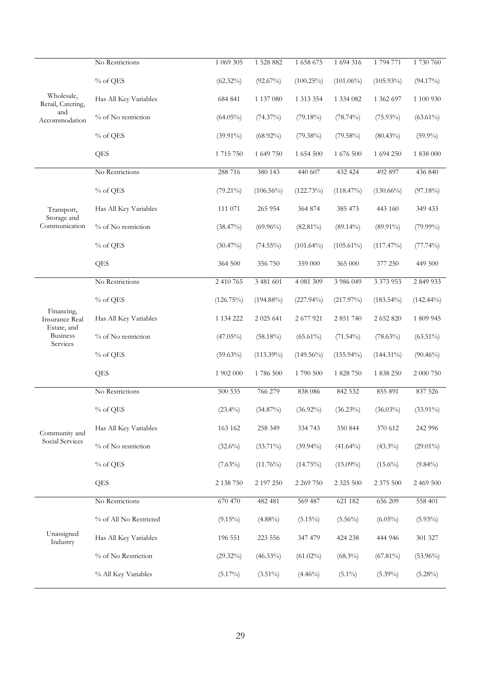|                                                                            | No Restrictions        | 1 069 305    | 1 528 882     | 1 658 675    | 1 694 316     | 1 794 771     | 1 730 760    |
|----------------------------------------------------------------------------|------------------------|--------------|---------------|--------------|---------------|---------------|--------------|
|                                                                            | % of QES               | $(62.32\%)$  | $(92.67\%)$   | $(100.25\%)$ | $(101.06\%)$  | $(105.93\%)$  | $(94.17\%)$  |
| Wholesale,<br>Retail, Catering,                                            | Has All Key Variables  | 684 841      | 1 137 080     | 1 313 354    | 1 334 082     | 1 362 697     | 1 100 930    |
| and<br>Accommodation                                                       | % of No restriction    | $(64.05\%)$  | $(74.37\%)$   | $(79.18\%)$  | $(78.74\%)$   | $(75.93\%)$   | $(63.61\%)$  |
|                                                                            | % of QES               | $(39.91\%)$  | $(68.92\%)$   | $(79.38\%)$  | $(79.58\%)$   | $(80.43\%)$   | $(59.9\%)$   |
|                                                                            | QES                    | 1 715 750    | 1 649 750     | 1 654 500    | 1 676 500     | 1 694 250     | 1 838 000    |
|                                                                            | No Restrictions        | 288 716      | 380 143       | 440 607      | 432 424       | 492 897       | 436 840      |
|                                                                            | % of QES               | $(79.21\%)$  | $(106.56\%)$  | $(122.73\%)$ | $(118.47\%)$  | $(130.66\%)$  | $(97.18\%)$  |
| Transport,<br>Storage and                                                  | Has All Key Variables  | 111 071      | 265 954       | 364 874      | 385 473       | 443 160       | 349 433      |
| Communication                                                              | % of No restriction    | $(38.47\%)$  | $(69.96\%)$   | $(82.81\%)$  | $(89.14\%)$   | $(89.91\%)$   | $(79.99\%)$  |
|                                                                            | % of QES               | $(30.47\%)$  | $(74.55\%)$   | $(101.64\%)$ | $(105.61\%)$  | $(117.47\%)$  | $(77.74\%)$  |
|                                                                            | QES                    | 364 500      | 356 750       | 359 000      | 365 000       | 377 250       | 449 500      |
|                                                                            | No Restrictions        | 2 410 765    | 3 481 601     | 4 081 309    | 3 986 049     | 3 3 7 3 9 5 3 | 2 849 933    |
| Financing,<br>Insurance Real<br>Estate, and<br><b>Business</b><br>Services | % of QES               | $(126.75\%)$ | $(194.88\%)$  | $(227.94\%)$ | $(217.97\%)$  | $(183.54\%)$  | $(142.44\%)$ |
|                                                                            | Has All Key Variables  | 1 134 222    | 2 0 2 5 6 4 1 | 2 677 921    | 2 851 740     | 2 652 820     | 1 809 945    |
|                                                                            | % of No restriction    | $(47.05\%)$  | $(58.18\%)$   | $(65.61\%)$  | $(71.54\%)$   | $(78.63\%)$   | $(63.51\%)$  |
|                                                                            | % of QES               | $(59.63\%)$  | $(113.39\%)$  | $(149.56\%)$ | $(155.94\%)$  | $(144.31\%)$  | $(90.46\%)$  |
|                                                                            | QES                    | 1 902 000    | 1786 500      | 1790 500     | 1 828 750     | 1 838 250     | 2 000 750    |
|                                                                            | No Restrictions        | 500 535      | 766 279       | 838 086      | 842 532       | 855 891       | 837 526      |
|                                                                            | % of QES               | $(23.4\%)$   | $(34.87\%)$   | $(36.92\%)$  | $(36.23\%)$   | $(36.03\%)$   | $(33.91\%)$  |
| Community and                                                              | Has All Key Variables  | 163 162      | 258 349       | 334 743      | 350 844       | 370 612       | 242 996      |
| Social Services                                                            | % of No restriction    | $(32.6\%)$   | $(33.71\%)$   | $(39.94\%)$  | $(41.64\%)$   | $(43.3\%)$    | $(29.01\%)$  |
|                                                                            | % of QES               | $(7.63\%)$   | $(11.76\%)$   | $(14.75\%)$  | $(15.09\%)$   | $(15.6\%)$    | $(9.84\%)$   |
|                                                                            | QES                    | 2 138 750    | 2 197 250     | 2 2 69 7 50  | 2 3 2 5 5 0 0 | 2 375 500     | 2 469 500    |
|                                                                            | No Restrictions        | 670 470      | 482 481       | 569 487      | 621 182       | 656 209       | 558 401      |
|                                                                            | % of All No Restricted | $(9.15\%)$   | $(4.88\%)$    | $(5.15\%)$   | $(5.56\%)$    | $(6.05\%)$    | $(5.93\%)$   |
| Unassigned<br>Industry                                                     | Has All Key Variables  | 196 551      | 223 556       | 347 479      | 424 238       | 444 946       | 301 327      |
|                                                                            | % of No Restriction    | $(29.32\%)$  | $(46.33\%)$   | $(61.02\%)$  | $(68.3\%)$    | $(67.81\%)$   | $(53.96\%)$  |
|                                                                            | % All Key Variables    | $(5.17\%)$   | $(3.51\%)$    | $(4.46\%)$   | $(5.1\%)$     | $(5.39\%)$    | $(5.28\%)$   |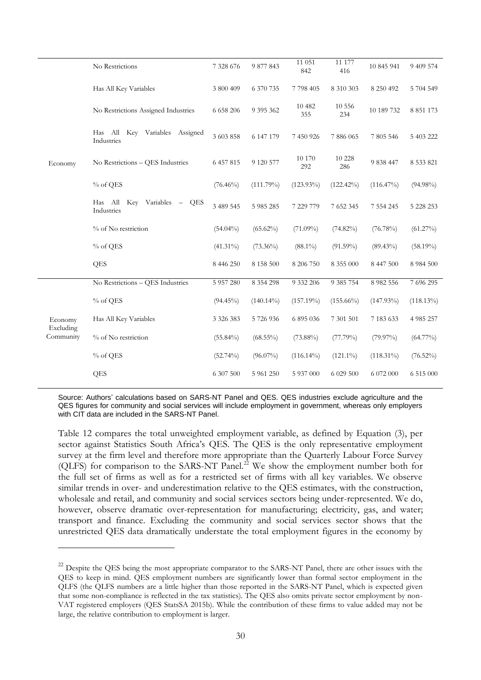|                        | No Restrictions                                | 7 328 676     | 9 877 843     | 11 051<br>842   | 11 177<br>416 | 10 845 941    | 9 409 574     |
|------------------------|------------------------------------------------|---------------|---------------|-----------------|---------------|---------------|---------------|
| Economy                | Has All Key Variables                          | 3 800 409     | 6 370 735     | 7 798 405       | 8 3 1 0 3 0 3 | 8 250 492     | 5 704 549     |
|                        | No Restrictions Assigned Industries            | 6 658 206     | 9 395 362     | 10 4 8 2<br>355 | 10 556<br>234 | 10 189 732    | 8 8 5 1 1 7 3 |
|                        | Has All Key Variables Assigned<br>Industries   | 3 603 858     | 6 147 179     | 7 450 926       | 7886065       | 7 805 546     | 5 403 222     |
|                        | No Restrictions - QES Industries               | 6 457 815     | 9 120 577     | 10 170<br>292   | 10 228<br>286 | 9 838 447     | 8 533 821     |
|                        | % of QES                                       | $(76.46\%)$   | $(111.79\%)$  | $(123.93\%)$    | $(122.42\%)$  | $(116.47\%)$  | $(94.98\%)$   |
|                        | Has All Key Variables<br>$-$ QES<br>Industries | 3 489 545     | 5 985 285     | 7 229 779       | 7 652 345     | 7 554 245     | 5 228 253     |
|                        | % of No restriction                            | $(54.04\%)$   | $(65.62\%)$   | $(71.09\%)$     | $(74.82\%)$   | $(76.78\%)$   | $(61.27\%)$   |
|                        | % of QES                                       | $(41.31\%)$   | $(73.36\%)$   | $(88.1\%)$      | $(91.59\%)$   | $(89.43\%)$   | $(58.19\%)$   |
|                        | QES                                            | 8 446 250     | 8 158 500     | 8 206 750       | 8 355 000     | 8 447 500     | 8 9 8 4 5 0 0 |
|                        | No Restrictions - QES Industries               | 5 9 5 7 2 8 0 | 8 3 5 4 2 9 8 | 9 332 206       | 9 385 754     | 8 9 8 2 5 5 6 | 7 696 295     |
| Economy                | % of QES                                       | $(94.45\%)$   | $(140.14\%)$  | $(157.19\%)$    | $(155.66\%)$  | $(147.93\%)$  | $(118.13\%)$  |
|                        | Has All Key Variables                          | 3 3 2 6 3 8 3 | 5 726 936     | 6 895 036       | 7 301 501     | 7 183 633     | 4 9 8 5 2 5 7 |
| Excluding<br>Community | % of No restriction                            | $(55.84\%)$   | $(68.55\%)$   | $(73.88\%)$     | (77.79%)      | $(79.97\%)$   | $(64.77\%)$   |
|                        | % of QES                                       | $(52.74\%)$   | $(96.07\%)$   | $(116.14\%)$    | $(121.1\%)$   | $(118.31\%)$  | $(76.52\%)$   |
|                        | QES                                            | 6 307 500     | 5 961 250     | 5 937 000       | 6 029 500     | 6 072 000     | 6 515 000     |
|                        |                                                |               |               |                 |               |               |               |

Source: Authors' calculations based on SARS-NT Panel and QES. QES industries exclude agriculture and the QES figures for community and social services will include employment in government, whereas only employers with CIT data are included in the SARS-NT Panel.

Table 12 compares the total unweighted employment variable, as defined by Equation (3), per sector against Statistics South Africa's QES. The QES is the only representative employment survey at the firm level and therefore more appropriate than the Quarterly Labour Force Survey (OLFS) for comparison to the SARS-NT Panel.<sup>22</sup> We show the employment number both for the full set of firms as well as for a restricted set of firms with all key variables. We observe similar trends in over- and underestimation relative to the QES estimates, with the construction, wholesale and retail, and community and social services sectors being under-represented. We do, however, observe dramatic over-representation for manufacturing; electricity, gas, and water; transport and finance. Excluding the community and social services sector shows that the unrestricted QES data dramatically understate the total employment figures in the economy by

-

<sup>&</sup>lt;sup>22</sup> Despite the QES being the most appropriate comparator to the SARS-NT Panel, there are other issues with the QES to keep in mind. QES employment numbers are significantly lower than formal sector employment in the QLFS (the QLFS numbers are a little higher than those reported in the SARS-NT Panel, which is expected given that some non-compliance is reflected in the tax statistics). The QES also omits private sector employment by non-VAT registered employers (QES StatsSA 2015b). While the contribution of these firms to value added may not be large, the relative contribution to employment is larger.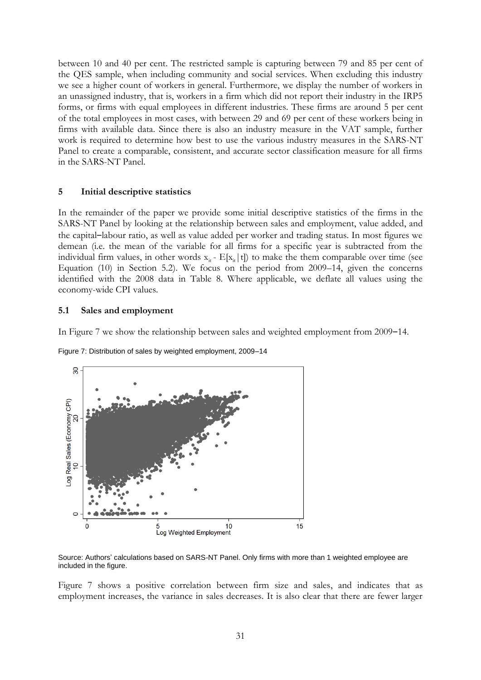between 10 and 40 per cent. The restricted sample is capturing between 79 and 85 per cent of the QES sample, when including community and social services. When excluding this industry we see a higher count of workers in general. Furthermore, we display the number of workers in an unassigned industry, that is, workers in a firm which did not report their industry in the IRP5 forms, or firms with equal employees in different industries. These firms are around 5 per cent of the total employees in most cases, with between 29 and 69 per cent of these workers being in firms with available data. Since there is also an industry measure in the VAT sample, further work is required to determine how best to use the various industry measures in the SARS-NT Panel to create a comparable, consistent, and accurate sector classification measure for all firms in the SARS-NT Panel.

#### **5 Initial descriptive statistics**

In the remainder of the paper we provide some initial descriptive statistics of the firms in the SARS-NT Panel by looking at the relationship between sales and employment, value added, and the capital–labour ratio, as well as value added per worker and trading status. In most figures we demean (i.e. the mean of the variable for all firms for a specific year is subtracted from the individual firm values, in other words  $x_{it}$  -  $E[x_{it}|t]$ ) to make the them comparable over time (see Equation (10) in Section 5.2). We focus on the period from 2009–14, given the concerns identified with the 2008 data in Table 8. Where applicable, we deflate all values using the economy-wide CPI values.

#### **5.1 Sales and employment**

In Figure 7 we show the relationship between sales and weighted employment from 2009–14.

Figure 7: Distribution of sales by weighted employment, 2009–14



Source: Authors' calculations based on SARS-NT Panel. Only firms with more than 1 weighted employee are included in the figure.

Figure 7 shows a positive correlation between firm size and sales, and indicates that as employment increases, the variance in sales decreases. It is also clear that there are fewer larger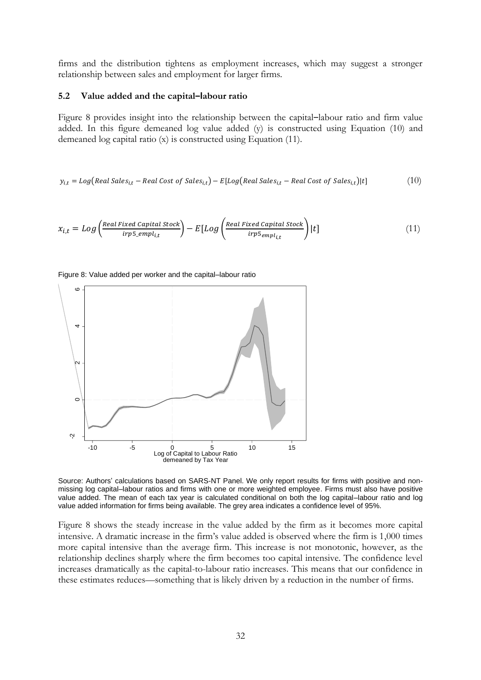firms and the distribution tightens as employment increases, which may suggest a stronger relationship between sales and employment for larger firms.

#### **5.2 Value added and the capital‒labour ratio**

Figure 8 provides insight into the relationship between the capital-labour ratio and firm value added. In this figure demeaned log value added (y) is constructed using Equation (10) and demeaned log capital ratio (x) is constructed using Equation (11).

$$
y_{i,t} = Log(Real Sales_{i,t} - Real Cost of Sales_{i,t}) - E[Log(Real Sales_{i,t} - Real Cost of Sales_{i,t})|t]
$$
 (10)

$$
x_{i,t} = Log\left(\frac{Real\ Fixed\ Capital\ Stock}{irp5\_empl_{i,t}}\right) - E\left[Log\left(\frac{Real\ Fixed\ Capital\ Stock}{irp5_{empl_{i,t}}}\right)|t\right]
$$
 (11)



Figure 8: Value added per worker and the capital-labour ratio

Source: Authors' calculations based on SARS-NT Panel. We only report results for firms with positive and nonmissing log capital–labour ratios and firms with one or more weighted employee. Firms must also have positive value added. The mean of each tax year is calculated conditional on both the log capital-labour ratio and log value added information for firms being available. The grey area indicates a confidence level of 95%.

Figure 8 shows the steady increase in the value added by the firm as it becomes more capital intensive. A dramatic increase in the firm's value added is observed where the firm is 1,000 times more capital intensive than the average firm. This increase is not monotonic, however, as the relationship declines sharply where the firm becomes too capital intensive. The confidence level increases dramatically as the capital-to-labour ratio increases. This means that our confidence in these estimates reduces—something that is likely driven by a reduction in the number of firms.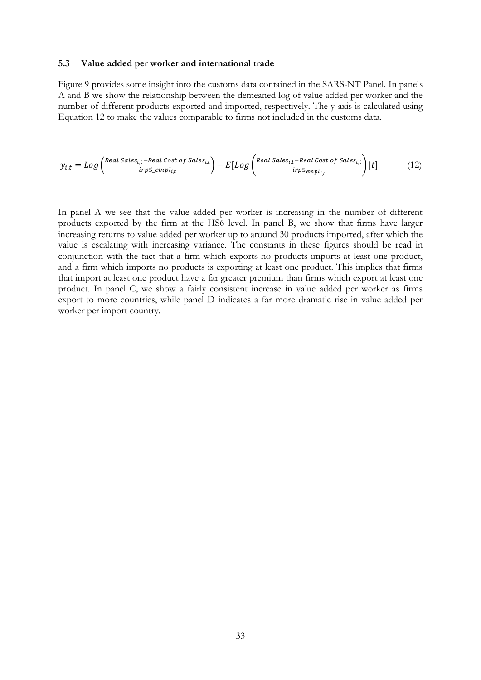#### **5.3 Value added per worker and international trade**

Figure 9 provides some insight into the customs data contained in the SARS-NT Panel. In panels A and B we show the relationship between the demeaned log of value added per worker and the number of different products exported and imported, respectively. The y-axis is calculated using Equation 12 to make the values comparable to firms not included in the customs data.

$$
y_{i,t} = Log\left(\frac{Real Sales_{i,t} - Real Cost of Sales_{i,t}}{irp5\_empl_{i,t}}\right) - E[Log\left(\frac{Real Sales_{i,t} - Real Cost of Sales_{i,t}}{irp5_{empl_{i,t}}}\right)|t]
$$
(12)

In panel A we see that the value added per worker is increasing in the number of different products exported by the firm at the HS6 level. In panel B, we show that firms have larger increasing returns to value added per worker up to around 30 products imported, after which the value is escalating with increasing variance. The constants in these figures should be read in conjunction with the fact that a firm which exports no products imports at least one product, and a firm which imports no products is exporting at least one product. This implies that firms that import at least one product have a far greater premium than firms which export at least one product. In panel C, we show a fairly consistent increase in value added per worker as firms export to more countries, while panel D indicates a far more dramatic rise in value added per worker per import country.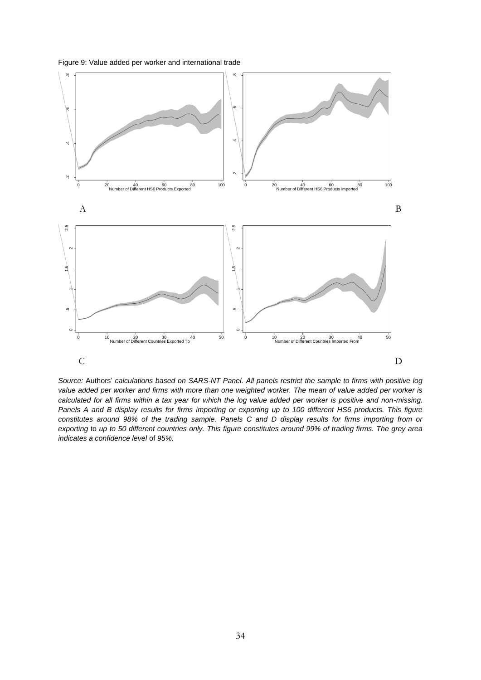



*Source:* Authors' *calculations based on SARS-NT Panel. All panels restrict the sample to firms with positive log value added per worker and firms with more than one weighted worker. The mean of value added per worker is calculated for all firms within a tax year for which the log value added per worker is positive and non-missing. Panels A and B display results for firms importing or exporting up to 100 different HS6 products. This figure constitutes around 98% of the trading sample. Panels C and D display results for firms importing from or exporting* to *up to 50 different countries only. This figure constitutes around 99% of trading firms. The grey area indicates a confidence level* of *95%.*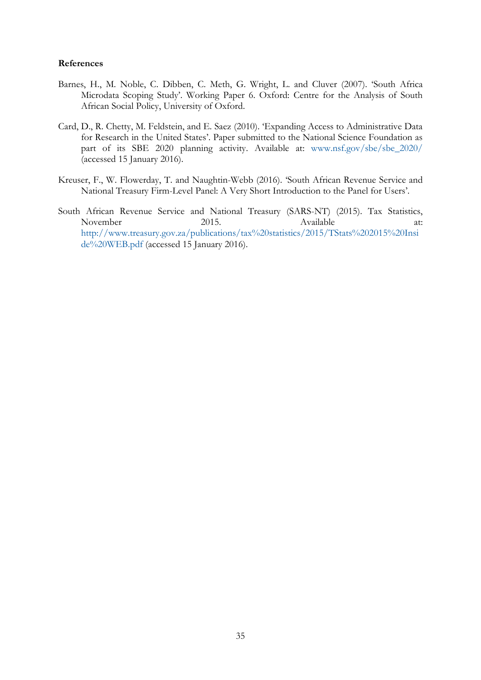#### **References**

- Barnes, H., M. Noble, C. Dibben, C. Meth, G. Wright, L. and Cluver (2007). 'South Africa Microdata Scoping Study'. Working Paper 6. Oxford: Centre for the Analysis of South African Social Policy, University of Oxford.
- Card, D., R. Chetty, M. Feldstein, and E. Saez (2010). 'Expanding Access to Administrative Data for Research in the United States'. Paper submitted to the National Science Foundation as part of its SBE 2020 planning activity. Available at: [www.nsf.gov/sbe/sbe\\_2020/](http://www.nsf.gov/sbe/sbe_2020/) (accessed 15 January 2016).
- Kreuser, F., W. Flowerday, T. and Naughtin-Webb (2016). 'South African Revenue Service and National Treasury Firm-Level Panel: A Very Short Introduction to the Panel for Users'.
- South African Revenue Service and National Treasury (SARS-NT) (2015). Tax Statistics, November 2015. Available at: [http://www.treasury.gov.za/publications/tax%20statistics/2015/TStats%202015%20Insi](http://www.treasury.gov.za/publications/tax%20statistics/2015/TStats%202015%20Inside%20WEB.pdf) [de%20WEB.pdf](http://www.treasury.gov.za/publications/tax%20statistics/2015/TStats%202015%20Inside%20WEB.pdf) (accessed 15 January 2016).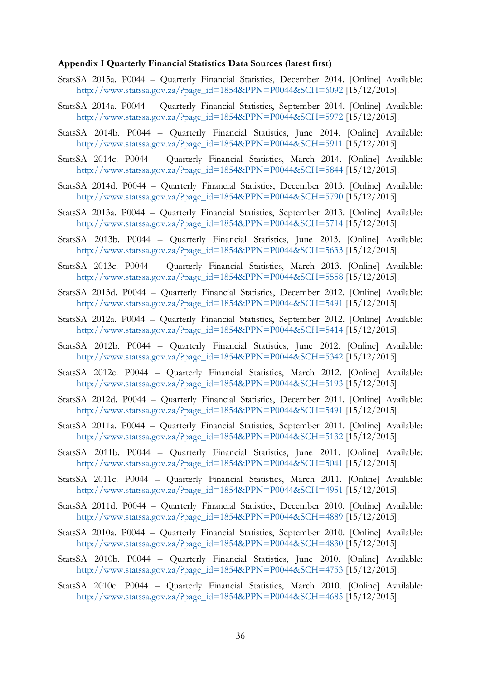#### **Appendix I Quarterly Financial Statistics Data Sources (latest first)**

- StatsSA 2015a. P0044 Quarterly Financial Statistics, December 2014. [Online] Available: [http://www.statssa.gov.za/?page\\_id=1854&PPN=P0044&SCH=6092](http://www.statssa.gov.za/?page_id=1854&PPN=P0044&SCH=6092) [15/12/2015].
- StatsSA 2014a. P0044 Quarterly Financial Statistics, September 2014. [Online] Available: [http://www.statssa.gov.za/?page\\_id=1854&PPN=P0044&SCH=5972](http://www.statssa.gov.za/?page_id=1854&PPN=P0044&SCH=5972) [15/12/2015].
- StatsSA 2014b. P0044 Quarterly Financial Statistics, June 2014. [Online] Available: [http://www.statssa.gov.za/?page\\_id=1854&PPN=P0044&SCH=5911](http://www.statssa.gov.za/?page_id=1854&PPN=P0044&SCH=5911) [15/12/2015].
- StatsSA 2014c. P0044 Quarterly Financial Statistics, March 2014. [Online] Available: [http://www.statssa.gov.za/?page\\_id=1854&PPN=P0044&SCH=5844](http://www.statssa.gov.za/?page_id=1854&PPN=P0044&SCH=5844) [15/12/2015].
- StatsSA 2014d. P0044 Quarterly Financial Statistics, December 2013. [Online] Available: [http://www.statssa.gov.za/?page\\_id=1854&PPN=P0044&SCH=5790](http://www.statssa.gov.za/?page_id=1854&PPN=P0044&SCH=5790) [15/12/2015].
- StatsSA 2013a. P0044 Quarterly Financial Statistics, September 2013. [Online] Available: [http://www.statssa.gov.za/?page\\_id=1854&PPN=P0044&SCH=5714](http://www.statssa.gov.za/?page_id=1854&PPN=P0044&SCH=5714) [15/12/2015].
- StatsSA 2013b. P0044 Quarterly Financial Statistics, June 2013. [Online] Available: [http://www.statssa.gov.za/?page\\_id=1854&PPN=P0044&SCH=5633](http://www.statssa.gov.za/?page_id=1854&PPN=P0044&SCH=5633) [15/12/2015].
- StatsSA 2013c. P0044 Quarterly Financial Statistics, March 2013. [Online] Available: [http://www.statssa.gov.za/?page\\_id=1854&PPN=P0044&SCH=5558](http://www.statssa.gov.za/?page_id=1854&PPN=P0044&SCH=5558) [15/12/2015].
- StatsSA 2013d. P0044 Quarterly Financial Statistics, December 2012. [Online] Available: [http://www.statssa.gov.za/?page\\_id=1854&PPN=P0044&SCH=5491](http://www.statssa.gov.za/?page_id=1854&PPN=P0044&SCH=5491) [15/12/2015].
- StatsSA 2012a. P0044 Quarterly Financial Statistics, September 2012. [Online] Available: [http://www.statssa.gov.za/?page\\_id=1854&PPN=P0044&SCH=5414](http://www.statssa.gov.za/?page_id=1854&PPN=P0044&SCH=5414) [15/12/2015].
- StatsSA 2012b. P0044 Quarterly Financial Statistics, June 2012. [Online] Available: [http://www.statssa.gov.za/?page\\_id=1854&PPN=P0044&SCH=5342](http://www.statssa.gov.za/?page_id=1854&PPN=P0044&SCH=5342) [15/12/2015].
- StatsSA 2012c. P0044 Quarterly Financial Statistics, March 2012. [Online] Available: [http://www.statssa.gov.za/?page\\_id=1854&PPN=P0044&SCH=5193](http://www.statssa.gov.za/?page_id=1854&PPN=P0044&SCH=5193) [15/12/2015].
- StatsSA 2012d. P0044 Quarterly Financial Statistics, December 2011. [Online] Available: [http://www.statssa.gov.za/?page\\_id=1854&PPN=P0044&SCH=5491](http://www.statssa.gov.za/?page_id=1854&PPN=P0044&SCH=5491) [15/12/2015].
- StatsSA 2011a. P0044 Quarterly Financial Statistics, September 2011. [Online] Available: [http://www.statssa.gov.za/?page\\_id=1854&PPN=P0044&SCH=5132](http://www.statssa.gov.za/?page_id=1854&PPN=P0044&SCH=5132) [15/12/2015].
- StatsSA 2011b. P0044 Quarterly Financial Statistics, June 2011. [Online] Available: [http://www.statssa.gov.za/?page\\_id=1854&PPN=P0044&SCH=5041](http://www.statssa.gov.za/?page_id=1854&PPN=P0044&SCH=5041) [15/12/2015].
- StatsSA 2011c. P0044 Quarterly Financial Statistics, March 2011. [Online] Available: [http://www.statssa.gov.za/?page\\_id=1854&PPN=P0044&SCH=4951](http://www.statssa.gov.za/?page_id=1854&PPN=P0044&SCH=4951) [15/12/2015].
- StatsSA 2011d. P0044 Quarterly Financial Statistics, December 2010. [Online] Available: [http://www.statssa.gov.za/?page\\_id=1854&PPN=P0044&SCH=4889](http://www.statssa.gov.za/?page_id=1854&PPN=P0044&SCH=4889) [15/12/2015].
- StatsSA 2010a. P0044 Quarterly Financial Statistics, September 2010. [Online] Available: [http://www.statssa.gov.za/?page\\_id=1854&PPN=P0044&SCH=4830](http://www.statssa.gov.za/?page_id=1854&PPN=P0044&SCH=4830) [15/12/2015].
- StatsSA 2010b. P0044 Quarterly Financial Statistics, June 2010. [Online] Available: [http://www.statssa.gov.za/?page\\_id=1854&PPN=P0044&SCH=4753](http://www.statssa.gov.za/?page_id=1854&PPN=P0044&SCH=4753) [15/12/2015].
- StatsSA 2010c. P0044 Quarterly Financial Statistics, March 2010. [Online] Available: [http://www.statssa.gov.za/?page\\_id=1854&PPN=P0044&SCH=4685](http://www.statssa.gov.za/?page_id=1854&PPN=P0044&SCH=4685) [15/12/2015].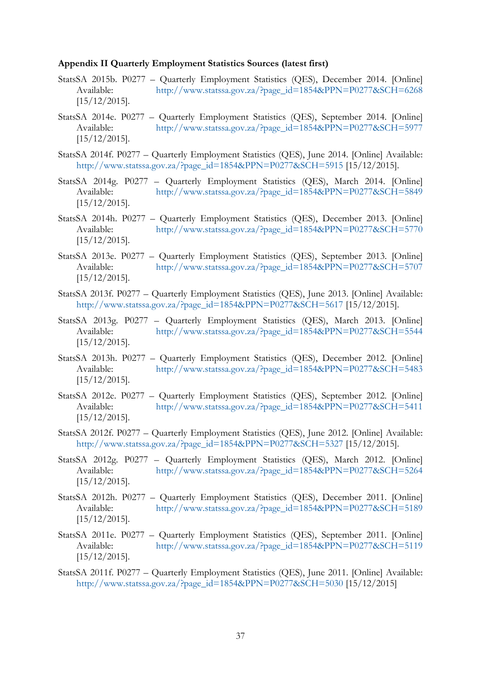#### **Appendix II Quarterly Employment Statistics Sources (latest first)**

- StatsSA 2015b. P0277 Quarterly Employment Statistics (QES), December 2014. [Online] Available: [http://www.statssa.gov.za/?page\\_id=1854&PPN=P0277&SCH=6268](http://www.statssa.gov.za/?page_id=1854&PPN=P0277&SCH=6268) [15/12/2015].
- StatsSA 2014e. P0277 Quarterly Employment Statistics (QES), September 2014. [Online] Available: [http://www.statssa.gov.za/?page\\_id=1854&PPN=P0277&SCH=5977](http://www.statssa.gov.za/?page_id=1854&PPN=P0277&SCH=5977) [15/12/2015].
- StatsSA 2014f. P0277 Quarterly Employment Statistics (QES), June 2014. [Online] Available: [http://www.statssa.gov.za/?page\\_id=1854&PPN=P0277&SCH=5915](http://www.statssa.gov.za/?page_id=1854&PPN=P0277&SCH=5915) [15/12/2015].
- StatsSA 2014g. P0277 Quarterly Employment Statistics (QES), March 2014. [Online] Available: [http://www.statssa.gov.za/?page\\_id=1854&PPN=P0277&SCH=5849](http://www.statssa.gov.za/?page_id=1854&PPN=P0277&SCH=5849) [15/12/2015].
- StatsSA 2014h. P0277 Quarterly Employment Statistics (QES), December 2013. [Online] Available: [http://www.statssa.gov.za/?page\\_id=1854&PPN=P0277&SCH=5770](http://www.statssa.gov.za/?page_id=1854&PPN=P0277&SCH=5770) [15/12/2015].
- StatsSA 2013e. P0277 Quarterly Employment Statistics (QES), September 2013. [Online] Available: [http://www.statssa.gov.za/?page\\_id=1854&PPN=P0277&SCH=5707](http://www.statssa.gov.za/?page_id=1854&PPN=P0277&SCH=5707) [15/12/2015].
- StatsSA 2013f. P0277 Quarterly Employment Statistics (QES), June 2013. [Online] Available: [http://www.statssa.gov.za/?page\\_id=1854&PPN=P0277&SCH=5617](http://www.statssa.gov.za/?page_id=1854&PPN=P0277&SCH=5617) [15/12/2015].
- StatsSA 2013g. P0277 Quarterly Employment Statistics (QES), March 2013. [Online] Available: [http://www.statssa.gov.za/?page\\_id=1854&PPN=P0277&SCH=5544](http://www.statssa.gov.za/?page_id=1854&PPN=P0277&SCH=5544) [15/12/2015].
- StatsSA 2013h. P0277 Quarterly Employment Statistics (QES), December 2012. [Online] Available: [http://www.statssa.gov.za/?page\\_id=1854&PPN=P0277&SCH=5483](http://www.statssa.gov.za/?page_id=1854&PPN=P0277&SCH=5483) [15/12/2015].
- StatsSA 2012e. P0277 Quarterly Employment Statistics (QES), September 2012. [Online] Available: [http://www.statssa.gov.za/?page\\_id=1854&PPN=P0277&SCH=5411](http://www.statssa.gov.za/?page_id=1854&PPN=P0277&SCH=5411) [15/12/2015].
- StatsSA 2012f. P0277 Quarterly Employment Statistics (QES), June 2012. [Online] Available: [http://www.statssa.gov.za/?page\\_id=1854&PPN=P0277&SCH=5327](http://www.statssa.gov.za/?page_id=1854&PPN=P0277&SCH=5327) [15/12/2015].
- StatsSA 2012g. P0277 Quarterly Employment Statistics (QES), March 2012. [Online] Available: [http://www.statssa.gov.za/?page\\_id=1854&PPN=P0277&SCH=5264](http://www.statssa.gov.za/?page_id=1854&PPN=P0277&SCH=5264) [15/12/2015].
- StatsSA 2012h. P0277 Quarterly Employment Statistics (QES), December 2011. [Online] Available: [http://www.statssa.gov.za/?page\\_id=1854&PPN=P0277&SCH=5189](http://www.statssa.gov.za/?page_id=1854&PPN=P0277&SCH=5189) [15/12/2015].
- StatsSA 2011e. P0277 Quarterly Employment Statistics (QES), September 2011. [Online] Available: [http://www.statssa.gov.za/?page\\_id=1854&PPN=P0277&SCH=5119](http://www.statssa.gov.za/?page_id=1854&PPN=P0277&SCH=5119) [15/12/2015].
- StatsSA 2011f. P0277 Quarterly Employment Statistics (QES), June 2011. [Online] Available: [http://www.statssa.gov.za/?page\\_id=1854&PPN=P0277&SCH=5030](http://www.statssa.gov.za/?page_id=1854&PPN=P0277&SCH=5030) [15/12/2015]